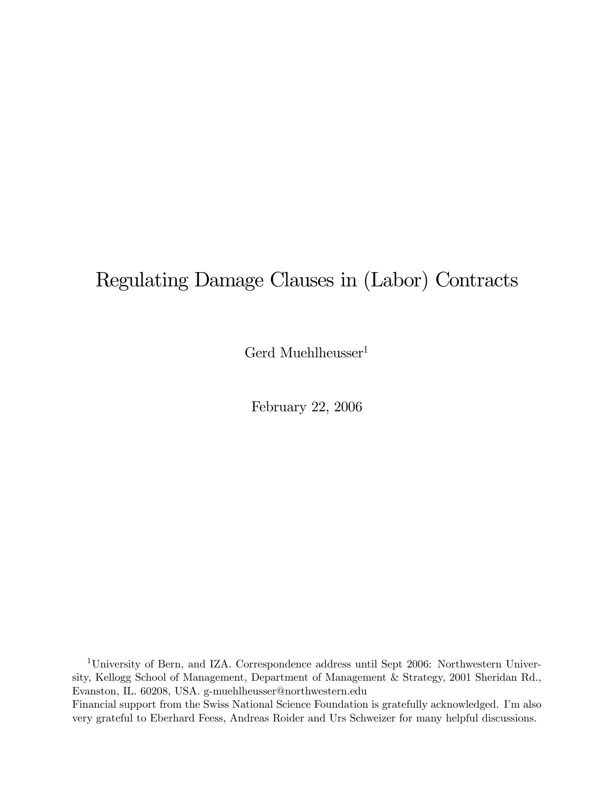# Regulating Damage Clauses in (Labor) Contracts

Gerd Muehlheusser<sup>1</sup>

February 22, 2006

1University of Bern, and IZA. Correspondence address until Sept 2006: Northwestern University, Kellogg School of Management, Department of Management & Strategy, 2001 Sheridan Rd., Evanston, IL. 60208, USA. g-muehlheusser@northwestern.edu Financial support from the Swiss National Science Foundation is gratefully acknowledged. I'm also very grateful to Eberhard Feess, Andreas Roider and Urs Schweizer for many helpful discussions.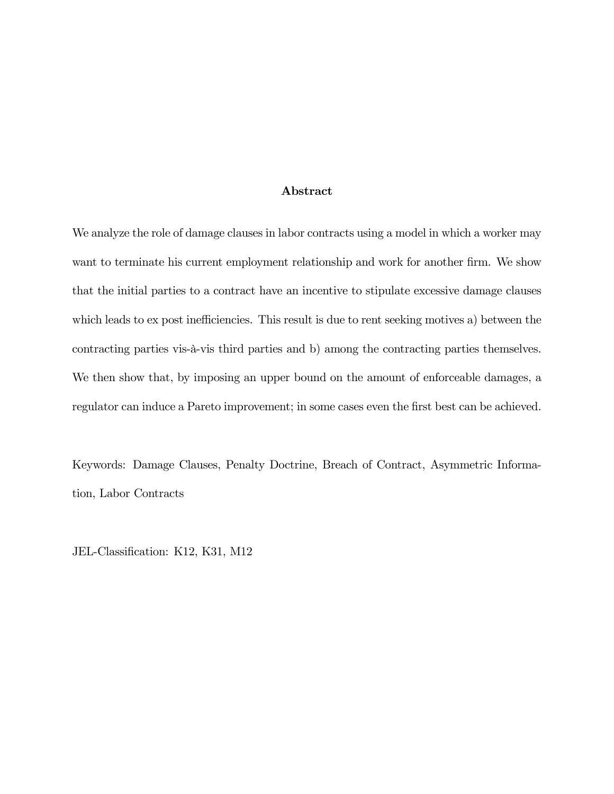#### Abstract

We analyze the role of damage clauses in labor contracts using a model in which a worker may want to terminate his current employment relationship and work for another firm. We show that the initial parties to a contract have an incentive to stipulate excessive damage clauses which leads to ex post inefficiencies. This result is due to rent seeking motives a) between the contracting parties vis-à-vis third parties and b) among the contracting parties themselves. We then show that, by imposing an upper bound on the amount of enforceable damages, a regulator can induce a Pareto improvement; in some cases even the first best can be achieved.

Keywords: Damage Clauses, Penalty Doctrine, Breach of Contract, Asymmetric Information, Labor Contracts

JEL-Classification: K12, K31, M12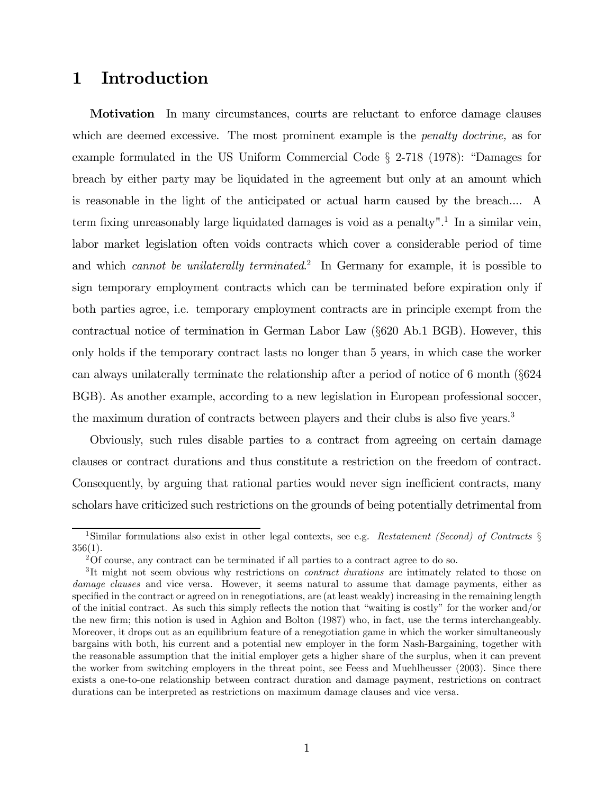# 1 Introduction

**Motivation** In many circumstances, courts are reluctant to enforce damage clauses which are deemed excessive. The most prominent example is the *penalty doctrine*, as for example formulated in the US Uniform Commercial Code § 2-718 (1978): "Damages for breach by either party may be liquidated in the agreement but only at an amount which is reasonable in the light of the anticipated or actual harm caused by the breach.... A term fixing unreasonably large liquidated damages is void as a penalty".<sup>1</sup> In a similar vein, labor market legislation often voids contracts which cover a considerable period of time and which *cannot be unilaterally terminated*.<sup>2</sup> In Germany for example, it is possible to sign temporary employment contracts which can be terminated before expiration only if both parties agree, i.e. temporary employment contracts are in principle exempt from the contractual notice of termination in German Labor Law (§620 Ab.1 BGB). However, this only holds if the temporary contract lasts no longer than 5 years, in which case the worker can always unilaterally terminate the relationship after a period of notice of 6 month (§624 BGB). As another example, according to a new legislation in European professional soccer, the maximum duration of contracts between players and their clubs is also five years.<sup>3</sup>

Obviously, such rules disable parties to a contract from agreeing on certain damage clauses or contract durations and thus constitute a restriction on the freedom of contract. Consequently, by arguing that rational parties would never sign inefficient contracts, many scholars have criticized such restrictions on the grounds of being potentially detrimental from

<sup>&</sup>lt;sup>1</sup>Similar formulations also exist in other legal contexts, see e.g. Restatement (Second) of Contracts  $\S$  $356(1)$ .

<sup>2</sup>Of course, any contract can be terminated if all parties to a contract agree to do so.

<sup>&</sup>lt;sup>3</sup>It might not seem obvious why restrictions on *contract durations* are intimately related to those on damage clauses and vice versa. However, it seems natural to assume that damage payments, either as specified in the contract or agreed on in renegotiations, are (at least weakly) increasing in the remaining length of the initial contract. As such this simply reflects the notion that "waiting is costly" for the worker and/or the new firm; this notion is used in Aghion and Bolton (1987) who, in fact, use the terms interchangeably. Moreover, it drops out as an equilibrium feature of a renegotiation game in which the worker simultaneously bargains with both, his current and a potential new employer in the form Nash-Bargaining, together with the reasonable assumption that the initial employer gets a higher share of the surplus, when it can prevent the worker from switching employers in the threat point, see Feess and Muehlheusser (2003). Since there exists a one-to-one relationship between contract duration and damage payment, restrictions on contract durations can be interpreted as restrictions on maximum damage clauses and vice versa.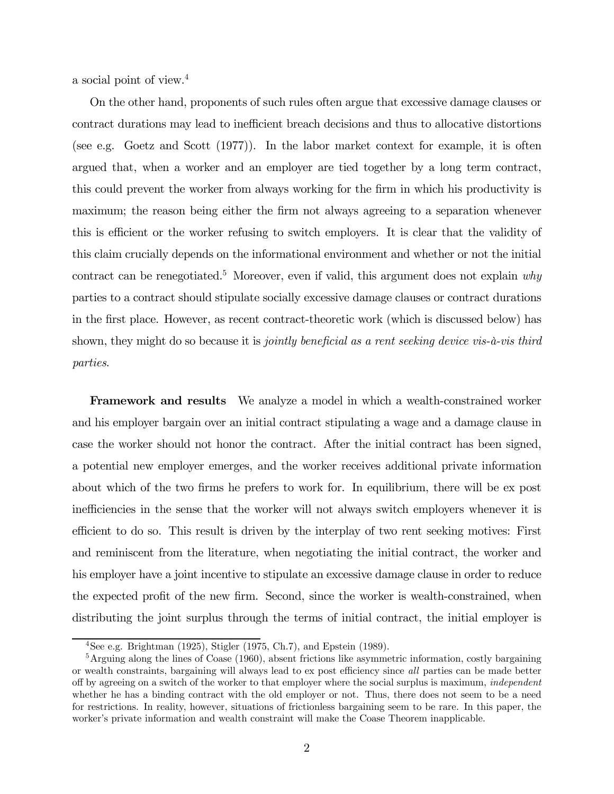a social point of view.4

On the other hand, proponents of such rules often argue that excessive damage clauses or contract durations may lead to inefficient breach decisions and thus to allocative distortions (see e.g. Goetz and Scott (1977)). In the labor market context for example, it is often argued that, when a worker and an employer are tied together by a long term contract, this could prevent the worker from always working for the firm in which his productivity is maximum; the reason being either the firm not always agreeing to a separation whenever this is efficient or the worker refusing to switch employers. It is clear that the validity of this claim crucially depends on the informational environment and whether or not the initial contract can be renegotiated.<sup>5</sup> Moreover, even if valid, this argument does not explain why parties to a contract should stipulate socially excessive damage clauses or contract durations in the first place. However, as recent contract-theoretic work (which is discussed below) has shown, they might do so because it is *jointly beneficial as a rent seeking device vis-à-vis third* parties.

**Framework and results** We analyze a model in which a wealth-constrained worker and his employer bargain over an initial contract stipulating a wage and a damage clause in case the worker should not honor the contract. After the initial contract has been signed, a potential new employer emerges, and the worker receives additional private information about which of the two firms he prefers to work for. In equilibrium, there will be ex post inefficiencies in the sense that the worker will not always switch employers whenever it is efficient to do so. This result is driven by the interplay of two rent seeking motives: First and reminiscent from the literature, when negotiating the initial contract, the worker and his employer have a joint incentive to stipulate an excessive damage clause in order to reduce the expected profit of the new firm. Second, since the worker is wealth-constrained, when distributing the joint surplus through the terms of initial contract, the initial employer is

<sup>&</sup>lt;sup>4</sup>See e.g. Brightman (1925), Stigler (1975, Ch.7), and Epstein (1989).

 $5$ Arguing along the lines of Coase (1960), absent frictions like asymmetric information, costly bargaining or wealth constraints, bargaining will always lead to ex post efficiency since all parties can be made better off by agreeing on a switch of the worker to that employer where the social surplus is maximum, independent whether he has a binding contract with the old employer or not. Thus, there does not seem to be a need for restrictions. In reality, however, situations of frictionless bargaining seem to be rare. In this paper, the worker's private information and wealth constraint will make the Coase Theorem inapplicable.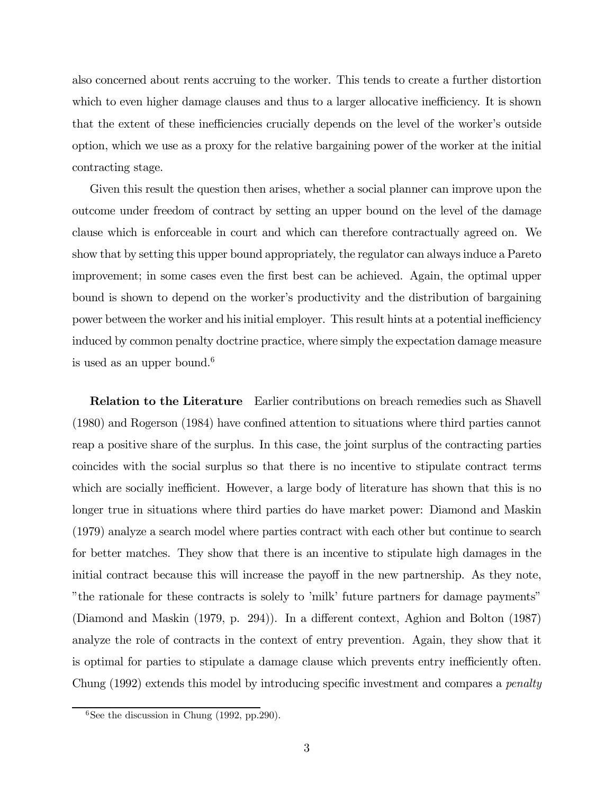also concerned about rents accruing to the worker. This tends to create a further distortion which to even higher damage clauses and thus to a larger allocative inefficiency. It is shown that the extent of these inefficiencies crucially depends on the level of the worker's outside option, which we use as a proxy for the relative bargaining power of the worker at the initial contracting stage.

Given this result the question then arises, whether a social planner can improve upon the outcome under freedom of contract by setting an upper bound on the level of the damage clause which is enforceable in court and which can therefore contractually agreed on. We show that by setting this upper bound appropriately, the regulator can always induce a Pareto improvement; in some cases even the first best can be achieved. Again, the optimal upper bound is shown to depend on the worker's productivity and the distribution of bargaining power between the worker and his initial employer. This result hints at a potential inefficiency induced by common penalty doctrine practice, where simply the expectation damage measure is used as an upper bound.<sup>6</sup>

Relation to the Literature Earlier contributions on breach remedies such as Shavell (1980) and Rogerson (1984) have confined attention to situations where third parties cannot reap a positive share of the surplus. In this case, the joint surplus of the contracting parties coincides with the social surplus so that there is no incentive to stipulate contract terms which are socially inefficient. However, a large body of literature has shown that this is no longer true in situations where third parties do have market power: Diamond and Maskin (1979) analyze a search model where parties contract with each other but continue to search for better matches. They show that there is an incentive to stipulate high damages in the initial contract because this will increase the payoff in the new partnership. As they note, "the rationale for these contracts is solely to 'milk' future partners for damage payments" (Diamond and Maskin (1979, p. 294)). In a different context, Aghion and Bolton (1987) analyze the role of contracts in the context of entry prevention. Again, they show that it is optimal for parties to stipulate a damage clause which prevents entry inefficiently often. Chung (1992) extends this model by introducing specific investment and compares a penalty

 $6$ See the discussion in Chung (1992, pp.290).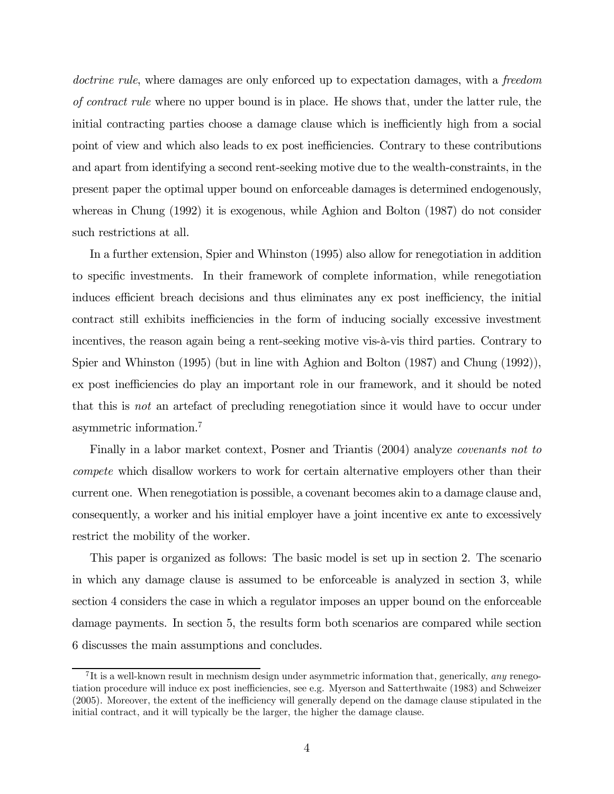doctrine rule, where damages are only enforced up to expectation damages, with a freedom of contract rule where no upper bound is in place. He shows that, under the latter rule, the initial contracting parties choose a damage clause which is inefficiently high from a social point of view and which also leads to ex post inefficiencies. Contrary to these contributions and apart from identifying a second rent-seeking motive due to the wealth-constraints, in the present paper the optimal upper bound on enforceable damages is determined endogenously, whereas in Chung (1992) it is exogenous, while Aghion and Bolton (1987) do not consider such restrictions at all.

In a further extension, Spier and Whinston (1995) also allow for renegotiation in addition to specific investments. In their framework of complete information, while renegotiation induces efficient breach decisions and thus eliminates any ex post inefficiency, the initial contract still exhibits inefficiencies in the form of inducing socially excessive investment incentives, the reason again being a rent-seeking motive vis-à-vis third parties. Contrary to Spier and Whinston (1995) (but in line with Aghion and Bolton (1987) and Chung (1992)), ex post inefficiencies do play an important role in our framework, and it should be noted that this is not an artefact of precluding renegotiation since it would have to occur under asymmetric information.7

Finally in a labor market context, Posner and Triantis (2004) analyze *covenants not to* compete which disallow workers to work for certain alternative employers other than their current one. When renegotiation is possible, a covenant becomes akin to a damage clause and, consequently, a worker and his initial employer have a joint incentive ex ante to excessively restrict the mobility of the worker.

This paper is organized as follows: The basic model is set up in section 2. The scenario in which any damage clause is assumed to be enforceable is analyzed in section 3, while section 4 considers the case in which a regulator imposes an upper bound on the enforceable damage payments. In section 5, the results form both scenarios are compared while section 6 discusses the main assumptions and concludes.

<sup>&</sup>lt;sup>7</sup>It is a well-known result in mechnism design under asymmetric information that, generically, *any* renegotiation procedure will induce ex post inefficiencies, see e.g. Myerson and Satterthwaite (1983) and Schweizer (2005). Moreover, the extent of the inefficiency will generally depend on the damage clause stipulated in the initial contract, and it will typically be the larger, the higher the damage clause.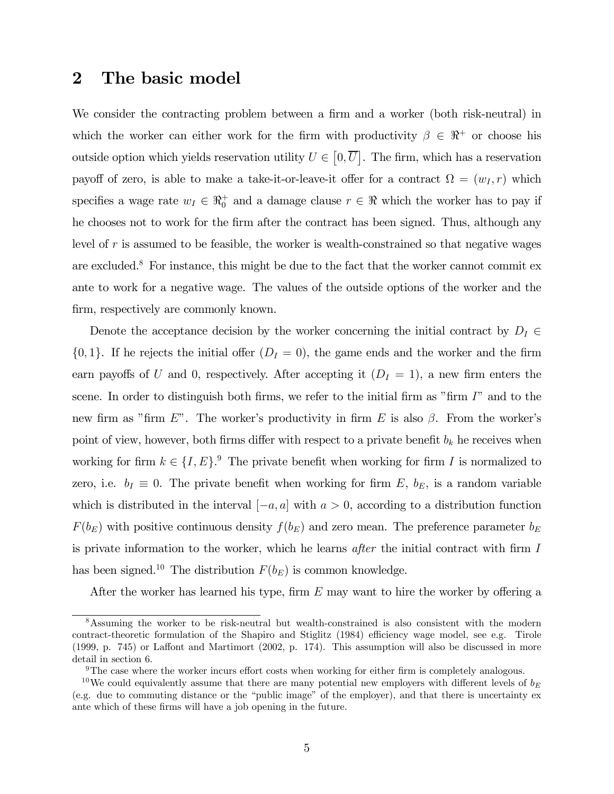#### 2 The basic model

We consider the contracting problem between a firm and a worker (both risk-neutral) in which the worker can either work for the firm with productivity  $\beta \in \mathbb{R}^+$  or choose his outside option which yields reservation utility  $U \in [0, \overline{U}]$ . The firm, which has a reservation payoff of zero, is able to make a take-it-or-leave-it offer for a contract  $\Omega = (w_I, r)$  which specifies a wage rate  $w_I \in \mathbb{R}^+$  and a damage clause  $r \in \mathbb{R}$  which the worker has to pay if he chooses not to work for the firm after the contract has been signed. Thus, although any level of  $r$  is assumed to be feasible, the worker is wealth-constrained so that negative wages are excluded.<sup>8</sup> For instance, this might be due to the fact that the worker cannot commit ex ante to work for a negative wage. The values of the outside options of the worker and the firm, respectively are commonly known.

Denote the acceptance decision by the worker concerning the initial contract by  $D_I \in$  $\{0, 1\}$ . If he rejects the initial offer  $(D<sub>I</sub> = 0)$ , the game ends and the worker and the firm earn payoffs of U and 0, respectively. After accepting it  $(D<sub>I</sub> = 1)$ , a new firm enters the scene. In order to distinguish both firms, we refer to the initial firm as "firm  $I$ " and to the new firm as "firm E". The worker's productivity in firm E is also  $\beta$ . From the worker's point of view, however, both firms differ with respect to a private benefit  $b_k$  he receives when working for firm  $k \in \{I, E\}$ .<sup>9</sup> The private benefit when working for firm I is normalized to zero, i.e.  $b_I \equiv 0$ . The private benefit when working for firm E,  $b_E$ , is a random variable which is distributed in the interval  $[-a, a]$  with  $a > 0$ , according to a distribution function  $F(b_E)$  with positive continuous density  $f(b_E)$  and zero mean. The preference parameter  $b_E$ is private information to the worker, which he learns after the initial contract with firm I has been signed.<sup>10</sup> The distribution  $F(b_E)$  is common knowledge.

After the worker has learned his type, firm  $E$  may want to hire the worker by offering a

<sup>8</sup>Assuming the worker to be risk-neutral but wealth-constrained is also consistent with the modern contract-theoretic formulation of the Shapiro and Stiglitz (1984) efficiency wage model, see e.g. Tirole (1999, p. 745) or Laffont and Martimort (2002, p. 174). This assumption will also be discussed in more detail in section 6.

 $9$ The case where the worker incurs effort costs when working for either firm is completely analogous.

<sup>&</sup>lt;sup>10</sup>We could equivalently assume that there are many potential new employers with different levels of  $b_E$ (e.g. due to commuting distance or the "public image" of the employer), and that there is uncertainty ex ante which of these firms will have a job opening in the future.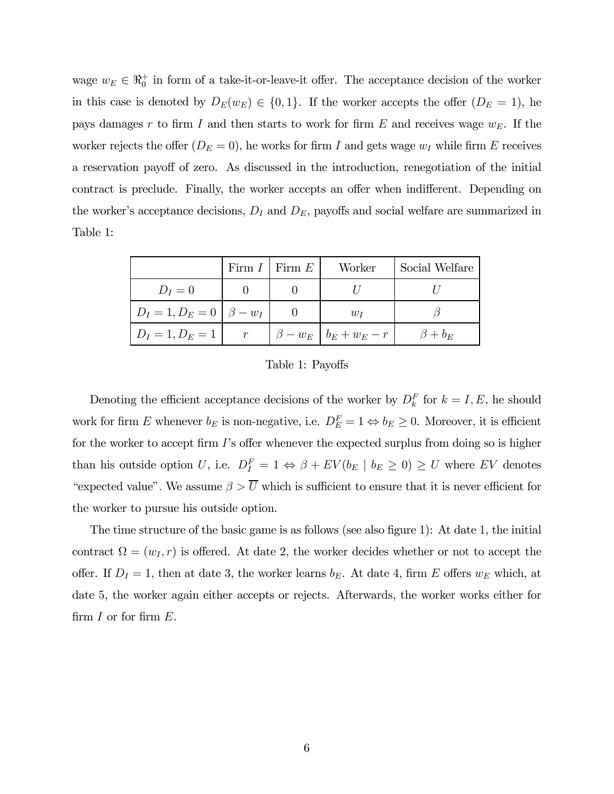wage  $w_E \in \mathbb{R}_0^+$  in form of a take-it-or-leave-it offer. The acceptance decision of the worker in this case is denoted by  $D_E(w_E) \in \{0, 1\}$ . If the worker accepts the offer  $(D_E = 1)$ , he pays damages r to firm I and then starts to work for firm  $E$  and receives wage  $w_E$ . If the worker rejects the offer  $(D_E = 0)$ , he works for firm I and gets wage  $w_I$  while firm E receives a reservation payoff of zero. As discussed in the introduction, renegotiation of the initial contract is preclude. Finally, the worker accepts an offer when indifferent. Depending on the worker's acceptance decisions,  $D<sub>I</sub>$  and  $D<sub>E</sub>$ , payoffs and social welfare are summarized in Table 1:

|                                     | Firm $I \perp$ Firm $E$ | Worker                          | Social Welfare |
|-------------------------------------|-------------------------|---------------------------------|----------------|
| $D_I=0$                             |                         |                                 |                |
| $D_I = 1, D_E = 0 \mid \beta - w_I$ |                         | $w_I$                           |                |
| $D_I = 1, D_E = 1$                  |                         | $\beta - w_E$   $b_E + w_E - r$ | $\beta+b_E$    |

Table 1: Payoffs

Denoting the efficient acceptance decisions of the worker by  $D_k^F$  for  $k = I, E$ , he should work for firm E whenever  $b_E$  is non-negative, i.e.  $D_E^F = 1 \Leftrightarrow b_E \ge 0$ . Moreover, it is efficient for the worker to accept firm I's offer whenever the expected surplus from doing so is higher than his outside option U, i.e.  $D_I^F = 1 \Leftrightarrow \beta + EV(b_E \mid b_E \ge 0) \ge U$  where EV denotes "expected value". We assume  $\beta > \overline{U}$  which is sufficient to ensure that it is never efficient for the worker to pursue his outside option.

The time structure of the basic game is as follows (see also figure 1): At date 1, the initial contract  $\Omega = (w_I, r)$  is offered. At date 2, the worker decides whether or not to accept the offer. If  $D_I = 1$ , then at date 3, the worker learns  $b_E$ . At date 4, firm E offers  $w_E$  which, at date 5, the worker again either accepts or rejects. Afterwards, the worker works either for firm  $I$  or for firm  $E$ .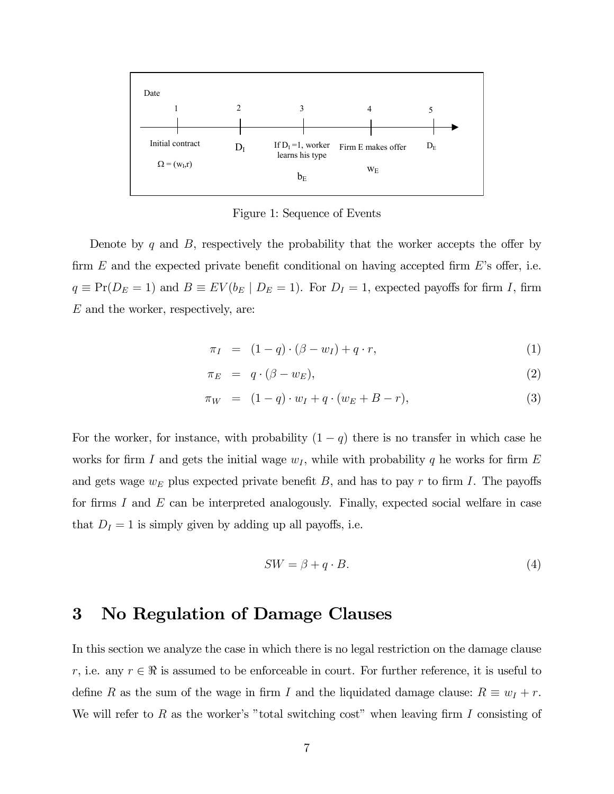

Figure 1: Sequence of Events

Denote by q and  $B$ , respectively the probability that the worker accepts the offer by firm  $E$  and the expected private benefit conditional on having accepted firm  $E$ 's offer, i.e.  $q \equiv Pr(D_E = 1)$  and  $B \equiv EV(b_E | D_E = 1)$ . For  $D_I = 1$ , expected payoffs for firm I, firm  $E$  and the worker, respectively, are:

$$
\pi_I = (1-q) \cdot (\beta - w_I) + q \cdot r,\tag{1}
$$

$$
\pi_E = q \cdot (\beta - w_E), \tag{2}
$$

$$
\pi_W = (1 - q) \cdot w_I + q \cdot (w_E + B - r), \tag{3}
$$

For the worker, for instance, with probability  $(1 - q)$  there is no transfer in which case he works for firm I and gets the initial wage  $w_I$ , while with probability q he works for firm E and gets wage  $w_E$  plus expected private benefit B, and has to pay r to firm I. The payoffs for firms I and  $E$  can be interpreted analogously. Finally, expected social welfare in case that  $D_I = 1$  is simply given by adding up all payoffs, i.e.

$$
SW = \beta + q \cdot B. \tag{4}
$$

#### 3 No Regulation of Damage Clauses

In this section we analyze the case in which there is no legal restriction on the damage clause r, i.e. any  $r \in \mathbb{R}$  is assumed to be enforceable in court. For further reference, it is useful to define R as the sum of the wage in firm I and the liquidated damage clause:  $R \equiv w_I + r$ . We will refer to R as the worker's "total switching cost" when leaving firm I consisting of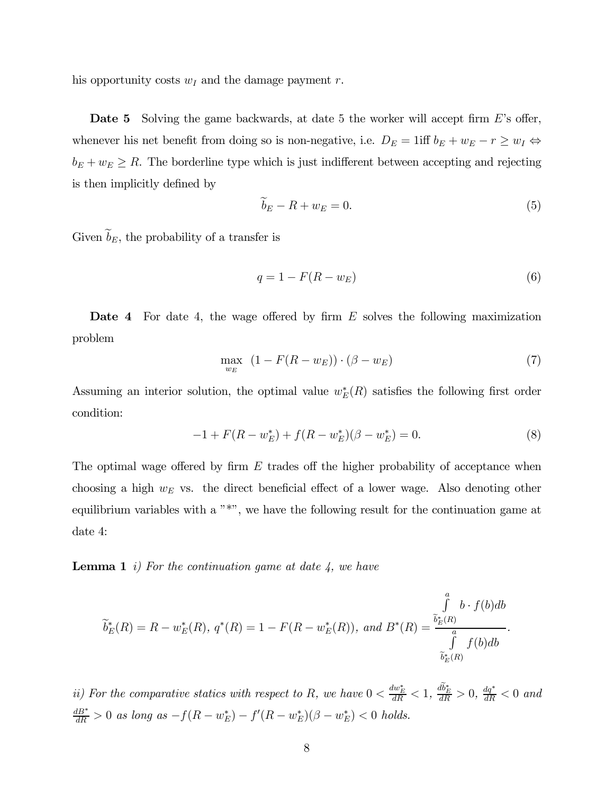his opportunity costs  $w_I$  and the damage payment r.

**Date 5** Solving the game backwards, at date 5 the worker will accept firm E's offer, whenever his net benefit from doing so is non-negative, i.e.  $D_E = 1$ iff  $b_E + w_E - r \ge w_I \Leftrightarrow$  $b_E + w_E \ge R$ . The borderline type which is just indifferent between accepting and rejecting is then implicitly defined by

$$
b_E - R + w_E = 0.\t\t(5)
$$

Given  $\widetilde{b}_E$ , the probability of a transfer is

$$
q = 1 - F(R - w_E) \tag{6}
$$

Date 4 For date 4, the wage offered by firm E solves the following maximization problem

$$
\max_{w_E} \quad (1 - F(R - w_E)) \cdot (\beta - w_E) \tag{7}
$$

Assuming an interior solution, the optimal value  $w_E^*(R)$  satisfies the following first order condition:

$$
-1 + F(R - w_E^*) + f(R - w_E^*)(\beta - w_E^*) = 0.
$$
\n(8)

The optimal wage offered by firm  $E$  trades off the higher probability of acceptance when choosing a high  $w_E$  vs. the direct beneficial effect of a lower wage. Also denoting other equilibrium variables with a "\*", we have the following result for the continuation game at date 4:

**Lemma 1** i) For the continuation game at date  $\lambda$ , we have

$$
\widetilde{b}_{E}^{*}(R) = R - w_{E}^{*}(R), \ q^{*}(R) = 1 - F(R - w_{E}^{*}(R)), \text{ and } B^{*}(R) = \frac{\int_{\widetilde{b}_{E}^{*}(R)}^{a} b \cdot f(b) db}{\int_{\widetilde{b}_{E}^{*}(R)}^{a} f(b) db}.
$$

ii) For the comparative statics with respect to R, we have  $0 < \frac{dw_E^*}{dR} < 1$ ,  $\frac{db_E^*}{dR} > 0$ ,  $\frac{dq^*}{dR} < 0$  and  $\frac{dB^*}{dR} > 0$  as long as  $-f(R - w_E^*) - f'(R - w_E^*)(\beta - w_E^*) < 0$  holds.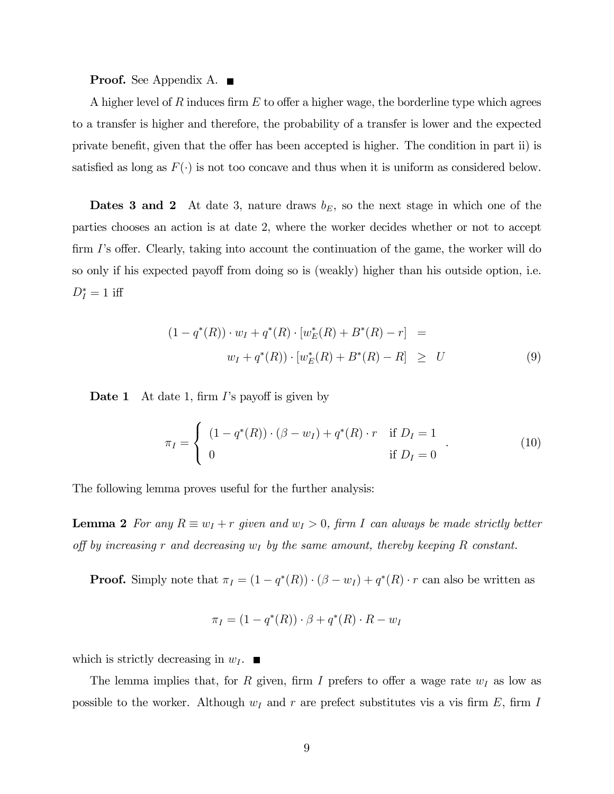#### **Proof.** See Appendix A. ■

A higher level of R induces firm E to offer a higher wage, the borderline type which agrees to a transfer is higher and therefore, the probability of a transfer is lower and the expected private benefit, given that the offer has been accepted is higher. The condition in part ii) is satisfied as long as  $F(\cdot)$  is not too concave and thus when it is uniform as considered below.

**Dates 3 and 2** At date 3, nature draws  $b_E$ , so the next stage in which one of the parties chooses an action is at date 2, where the worker decides whether or not to accept firm I's offer. Clearly, taking into account the continuation of the game, the worker will do so only if his expected payoff from doing so is (weakly) higher than his outside option, i.e.  $D_I^* = 1$  iff

$$
(1 - q^*(R)) \cdot w_I + q^*(R) \cdot [w_E^*(R) + B^*(R) - r] =
$$
  

$$
w_I + q^*(R)) \cdot [w_E^*(R) + B^*(R) - R] \ge U
$$
 (9)

**Date 1** At date 1, firm I's payoff is given by

$$
\pi_I = \begin{cases}\n(1 - q^*(R)) \cdot (\beta - w_I) + q^*(R) \cdot r & \text{if } D_I = 1 \\
0 & \text{if } D_I = 0\n\end{cases} \tag{10}
$$

The following lemma proves useful for the further analysis:

**Lemma 2** For any  $R \equiv w_I + r$  given and  $w_I > 0$ , firm I can always be made strictly better off by increasing r and decreasing  $w_I$  by the same amount, thereby keeping R constant.

**Proof.** Simply note that  $\pi_I = (1 - q^*(R)) \cdot (\beta - w_I) + q^*(R) \cdot r$  can also be written as

$$
\pi_I = (1 - q^*(R)) \cdot \beta + q^*(R) \cdot R - w_I
$$

which is strictly decreasing in  $w_I$ .

The lemma implies that, for R given, firm I prefers to offer a wage rate  $w_I$  as low as possible to the worker. Although  $w_I$  and r are prefect substitutes vis a vis firm E, firm I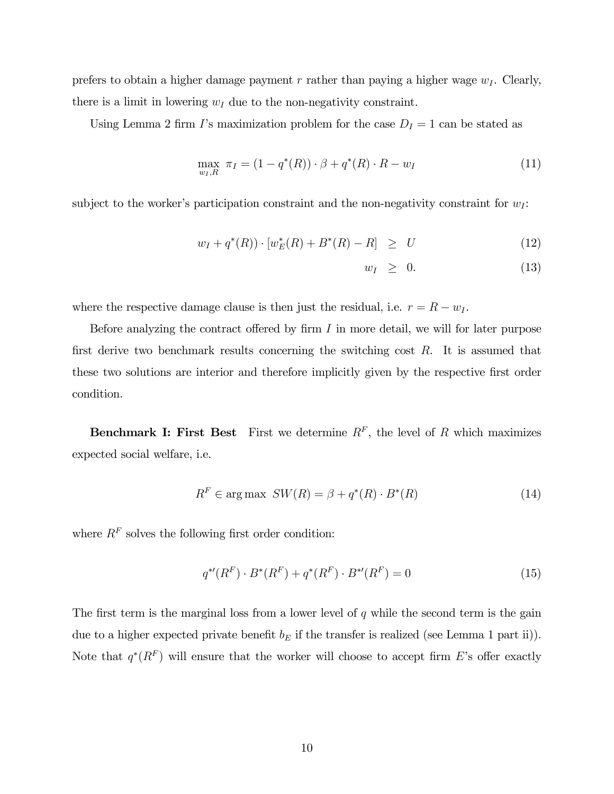prefers to obtain a higher damage payment r rather than paying a higher wage  $w_I$ . Clearly, there is a limit in lowering  $w_I$  due to the non-negativity constraint.

Using Lemma 2 firm I's maximization problem for the case  $D<sub>I</sub> = 1$  can be stated as

$$
\max_{w_I, R} \ \pi_I = (1 - q^*(R)) \cdot \beta + q^*(R) \cdot R - w_I \tag{11}
$$

subject to the worker's participation constraint and the non-negativity constraint for  $w_I$ :

$$
w_I + q^*(R)) \cdot [w_E^*(R) + B^*(R) - R] \ge U \tag{12}
$$

$$
w_I \geq 0. \tag{13}
$$

where the respective damage clause is then just the residual, i.e.  $r = R - w_I$ .

Before analyzing the contract offered by firm  $I$  in more detail, we will for later purpose first derive two benchmark results concerning the switching cost  $R$ . It is assumed that these two solutions are interior and therefore implicitly given by the respective first order condition.

**Benchmark I: First Best** First we determine  $R^F$ , the level of R which maximizes expected social welfare, i.e.

$$
R^{F} \in \arg \max \; SW(R) = \beta + q^{*}(R) \cdot B^{*}(R) \tag{14}
$$

where  $R<sup>F</sup>$  solves the following first order condition:

$$
q^{*'}(R^F) \cdot B^*(R^F) + q^*(R^F) \cdot B^{*'}(R^F) = 0 \tag{15}
$$

The first term is the marginal loss from a lower level of  $q$  while the second term is the gain due to a higher expected private benefit  $b_E$  if the transfer is realized (see Lemma 1 part ii)). Note that  $q^*(R^F)$  will ensure that the worker will choose to accept firm E's offer exactly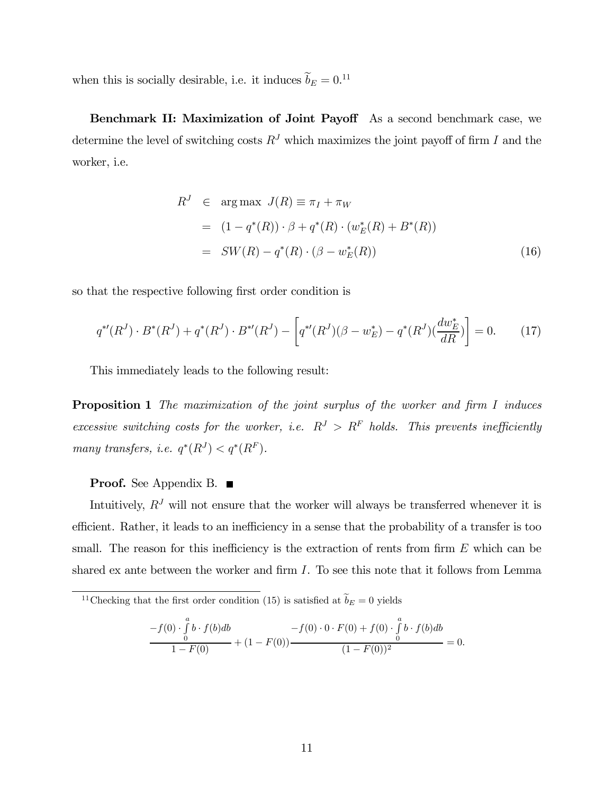when this is socially desirable, i.e. it induces  $b_E = 0.11$ 

Benchmark II: Maximization of Joint Payoff As a second benchmark case, we determine the level of switching costs  $R<sup>J</sup>$  which maximizes the joint payoff of firm I and the worker, i.e.

$$
R^{J} \in \arg \max J(R) \equiv \pi_{I} + \pi_{W}
$$
  
=  $(1 - q^{*}(R)) \cdot \beta + q^{*}(R) \cdot (w_{E}^{*}(R) + B^{*}(R))$   
=  $SW(R) - q^{*}(R) \cdot (\beta - w_{E}^{*}(R))$  (16)

so that the respective following first order condition is

$$
q^{*'}(R^J) \cdot B^*(R^J) + q^*(R^J) \cdot B^{*'}(R^J) - \left[ q^{*'}(R^J)(\beta - w_E^*) - q^*(R^J)(\frac{dw_E^*}{dR}) \right] = 0. \tag{17}
$$

This immediately leads to the following result:

Proposition 1 The maximization of the joint surplus of the worker and firm I induces excessive switching costs for the worker, i.e.  $R^J > R^F$  holds. This prevents inefficiently many transfers, i.e.  $q^*(R^J) < q^*(R^F)$ .

#### Proof. See Appendix B. ■

Intuitively,  $R<sup>J</sup>$  will not ensure that the worker will always be transferred whenever it is efficient. Rather, it leads to an inefficiency in a sense that the probability of a transfer is too small. The reason for this inefficiency is the extraction of rents from firm  $E$  which can be shared ex ante between the worker and firm  $I$ . To see this note that it follows from Lemma

$$
\frac{-f(0) \cdot \int_{0}^{a} b \cdot f(b)db}{1 - F(0)} + (1 - F(0)) \frac{-f(0) \cdot 0 \cdot F(0) + f(0) \cdot \int_{0}^{a} b \cdot f(b)db}{(1 - F(0))^{2}} = 0.
$$

<sup>&</sup>lt;sup>11</sup>Checking that the first order condition (15) is satisfied at  $\widetilde{b}_E = 0$  yields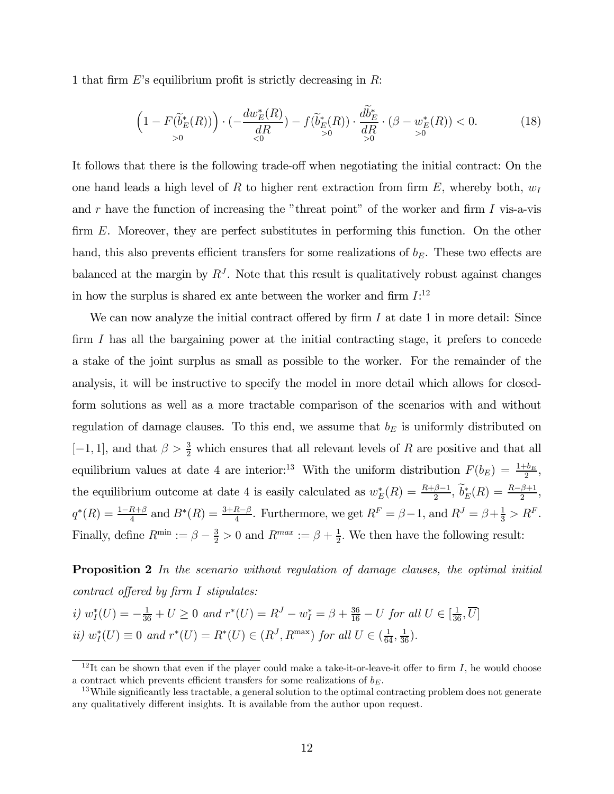1 that firm  $E$ 's equilibrium profit is strictly decreasing in  $R$ :

$$
\left(1 - F(\widetilde{b}_{E}^{*}(R))\right) \cdot \left(-\frac{dw_{E}^{*}(R)}{dR}\right) - f(\widetilde{b}_{E}^{*}(R)) \cdot \frac{db_{E}^{*}}{dR} \cdot (\beta - w_{E}^{*}(R)) < 0. \tag{18}
$$

It follows that there is the following trade-off when negotiating the initial contract: On the one hand leads a high level of R to higher rent extraction from firm E, whereby both,  $w<sub>1</sub>$ and r have the function of increasing the "threat point" of the worker and firm  $I$  vis-a-vis firm E. Moreover, they are perfect substitutes in performing this function. On the other hand, this also prevents efficient transfers for some realizations of  $b_E$ . These two effects are balanced at the margin by  $R<sup>J</sup>$ . Note that this result is qualitatively robust against changes in how the surplus is shared ex ante between the worker and firm  $I:^{12}$ 

We can now analyze the initial contract offered by firm  $I$  at date 1 in more detail: Since firm I has all the bargaining power at the initial contracting stage, it prefers to concede a stake of the joint surplus as small as possible to the worker. For the remainder of the analysis, it will be instructive to specify the model in more detail which allows for closedform solutions as well as a more tractable comparison of the scenarios with and without regulation of damage clauses. To this end, we assume that  $b<sub>E</sub>$  is uniformly distributed on  $[-1, 1]$ , and that  $\beta > \frac{3}{2}$  which ensures that all relevant levels of R are positive and that all equilibrium values at date 4 are interior:<sup>13</sup> With the uniform distribution  $F(b_E) = \frac{1+b_E}{2}$ , the equilibrium outcome at date 4 is easily calculated as  $w_E^*(R) = \frac{R+\beta-1}{2}$ ,  $\widetilde{b}_E^*(R) = \frac{R-\beta+1}{2}$ ,  $q^*(R) = \frac{1-R+\beta}{4}$  and  $B^*(R) = \frac{3+R-\beta}{4}$ . Furthermore, we get  $R^F = \beta - 1$ , and  $R^J = \beta + \frac{1}{3} > R^F$ . Finally, define  $R^{\min} := \beta - \frac{3}{2} > 0$  and  $R^{\max} := \beta + \frac{1}{2}$ . We then have the following result:

**Proposition 2** In the scenario without regulation of damage clauses, the optimal initial contract offered by firm I stipulates:

i)  $w_I^*(U) = -\frac{1}{36} + U \ge 0$  and  $r^*(U) = R^J - w_I^* = \beta + \frac{36}{16} - U$  for all  $U \in [\frac{1}{36}, \overline{U}]$ *ii*)  $w_I^*(U) \equiv 0$  and  $r^*(U) = R^*(U) \in (R^J, R^{\text{max}})$  for all  $U \in (\frac{1}{64}, \frac{1}{36})$ .

 $12$ It can be shown that even if the player could make a take-it-or-leave-it offer to firm I, he would choose a contract which prevents efficient transfers for some realizations of  $b_E$ .<br><sup>13</sup>While significantly less tractable, a general solution to the optimal contracting problem does not generate

any qualitatively different insights. It is available from the author upon request.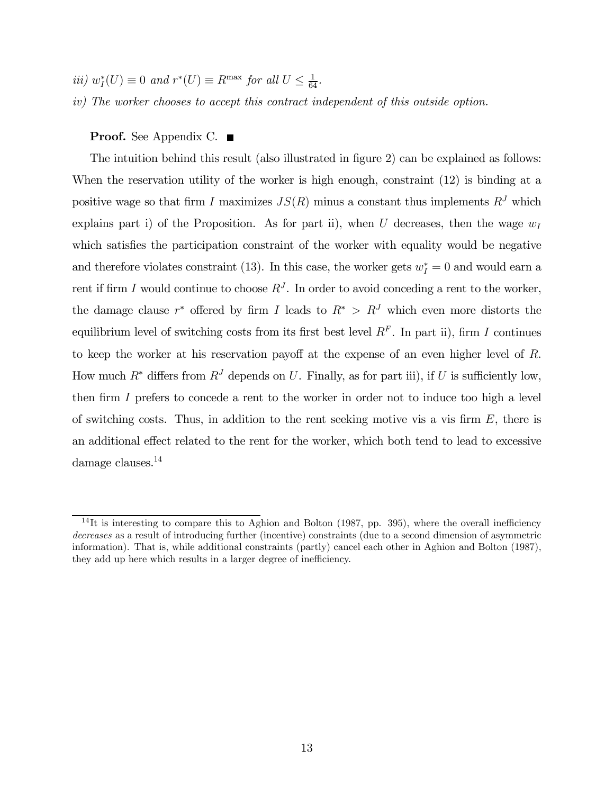- $iii) w_I^*(U) \equiv 0 \text{ and } r^*(U) \equiv R^{\text{max}} \text{ for all } U \leq \frac{1}{64}.$
- iv) The worker chooses to accept this contract independent of this outside option.

#### **Proof.** See Appendix C. ■

The intuition behind this result (also illustrated in figure 2) can be explained as follows: When the reservation utility of the worker is high enough, constraint (12) is binding at a positive wage so that firm I maximizes  $JS(R)$  minus a constant thus implements  $R<sup>J</sup>$  which explains part i) of the Proposition. As for part ii), when U decreases, then the wage  $w_I$ which satisfies the participation constraint of the worker with equality would be negative and therefore violates constraint (13). In this case, the worker gets  $w_I^* = 0$  and would earn a rent if firm I would continue to choose  $R<sup>J</sup>$ . In order to avoid conceding a rent to the worker, the damage clause r<sup>∗</sup> offered by firm I leads to  $R^* > R^J$  which even more distorts the equilibrium level of switching costs from its first best level  $R<sup>F</sup>$ . In part ii), firm I continues to keep the worker at his reservation payoff at the expense of an even higher level of R. How much  $R^*$  differs from  $R^J$  depends on U. Finally, as for part iii), if U is sufficiently low, then firm I prefers to concede a rent to the worker in order not to induce too high a level of switching costs. Thus, in addition to the rent seeking motive vis a vis firm  $E$ , there is an additional effect related to the rent for the worker, which both tend to lead to excessive damage clauses.14

 $14$ It is interesting to compare this to Aghion and Bolton (1987, pp. 395), where the overall inefficiency decreases as a result of introducing further (incentive) constraints (due to a second dimension of asymmetric information). That is, while additional constraints (partly) cancel each other in Aghion and Bolton (1987), they add up here which results in a larger degree of inefficiency.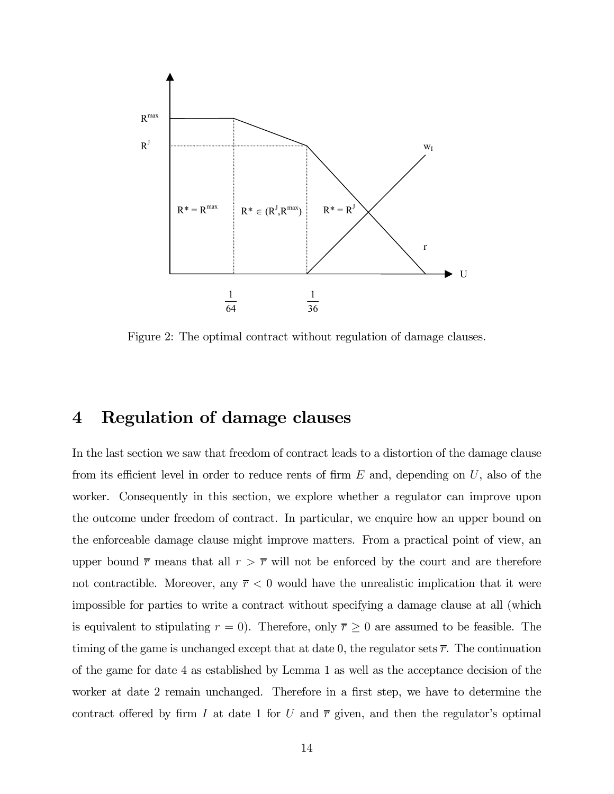

Figure 2: The optimal contract without regulation of damage clauses.

### 4 Regulation of damage clauses

In the last section we saw that freedom of contract leads to a distortion of the damage clause from its efficient level in order to reduce rents of firm  $E$  and, depending on  $U$ , also of the worker. Consequently in this section, we explore whether a regulator can improve upon the outcome under freedom of contract. In particular, we enquire how an upper bound on the enforceable damage clause might improve matters. From a practical point of view, an upper bound  $\bar{r}$  means that all  $r > \bar{r}$  will not be enforced by the court and are therefore not contractible. Moreover, any  $\overline{r}$  < 0 would have the unrealistic implication that it were impossible for parties to write a contract without specifying a damage clause at all (which is equivalent to stipulating  $r = 0$ . Therefore, only  $\overline{r} \ge 0$  are assumed to be feasible. The timing of the game is unchanged except that at date 0, the regulator sets  $\overline{r}$ . The continuation of the game for date 4 as established by Lemma 1 as well as the acceptance decision of the worker at date 2 remain unchanged. Therefore in a first step, we have to determine the contract offered by firm I at date 1 for U and  $\bar{r}$  given, and then the regulator's optimal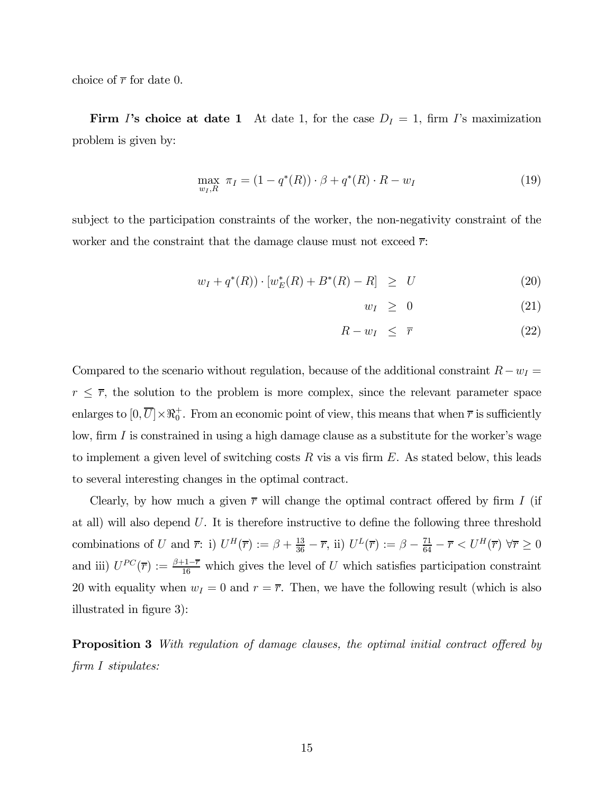choice of  $\bar{r}$  for date 0.

Firm I's choice at date 1 At date 1, for the case  $D_I = 1$ , firm I's maximization problem is given by:

$$
\max_{w_I, R} \ \pi_I = (1 - q^*(R)) \cdot \beta + q^*(R) \cdot R - w_I \tag{19}
$$

subject to the participation constraints of the worker, the non-negativity constraint of the worker and the constraint that the damage clause must not exceed  $\bar{r}$ :

$$
w_I + q^*(R)) \cdot [w_E^*(R) + B^*(R) - R] \ge U \tag{20}
$$

$$
w_I \geq 0 \tag{21}
$$

$$
R - w_I \leq \overline{r} \tag{22}
$$

Compared to the scenario without regulation, because of the additional constraint  $R-w_I =$  $r \leq \overline{r}$ , the solution to the problem is more complex, since the relevant parameter space enlarges to  $[0, \overline{U}] \times \Re_0^+$ . From an economic point of view, this means that when  $\overline{r}$  is sufficiently low, firm  $I$  is constrained in using a high damage clause as a substitute for the worker's wage to implement a given level of switching costs  $R$  vis a vis firm  $E$ . As stated below, this leads to several interesting changes in the optimal contract.

Clearly, by how much a given  $\bar{r}$  will change the optimal contract offered by firm I (if at all) will also depend  $U$ . It is therefore instructive to define the following three threshold combinations of U and  $\overline{r}$ : i)  $U^H(\overline{r}) := \beta + \frac{13}{36} - \overline{r}$ , ii)  $U^L(\overline{r}) := \beta - \frac{71}{64} - \overline{r} < U^H(\overline{r}) \ \forall \overline{r} \geq 0$ and iii)  $U^{PC}(\overline{r}) := \frac{\beta + 1 - \overline{r}}{16}$  which gives the level of U which satisfies participation constraint 20 with equality when  $w_I = 0$  and  $r = \overline{r}$ . Then, we have the following result (which is also illustrated in figure 3):

**Proposition 3** With regulation of damage clauses, the optimal initial contract offered by firm I stipulates: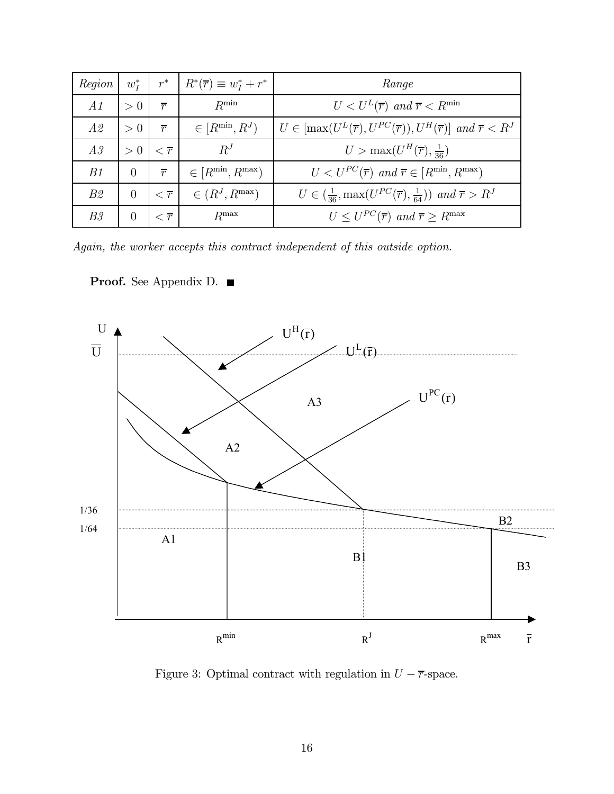| Region         | $w^*$    | $r^*$                 | $R^*(\overline{r}) \equiv w_I^* + r^*$ | Range                                                                                                     |
|----------------|----------|-----------------------|----------------------------------------|-----------------------------------------------------------------------------------------------------------|
| A1             | > 0      | $\overline{r}$        | $R^{\min}$                             | $U < U^L(\overline{r})$ and $\overline{r} < R^{\min}$                                                     |
| A2             | > 0      | $\overline{r}$        | $\in [R^{\min}, R^J)$                  | $U \in [\max(U^{L}(\overline{r}), U^{PC}(\overline{r})), U^{H}(\overline{r})]$ and $\overline{r} < R^{J}$ |
| A3             | > 0      | $\tau < \overline{r}$ | $R^J$                                  | $U > \max(U^H(\overline{r}), \frac{1}{36})$                                                               |
| B1             | $\Omega$ | $\overline{r}$        | $\in [R^{\min}, R^{\max})$             | $U < U^{PC}(\overline{r})$ and $\overline{r} \in [R^{\min}, R^{\max})$                                    |
| B2             | $\Omega$ | $\overline{\tau}$     | $\in (R^J, R^{\max})$                  | $U \in (\frac{1}{36}, \max(U^{PC}(\overline{r}), \frac{1}{64}))$ and $\overline{r} > R^J$                 |
| B <sub>3</sub> | $\Omega$ | $\overline{r}$        | $R^{\max}$                             | $U \leq U^{PC}(\overline{r})$ and $\overline{r} \geq R^{\max}$                                            |

Again, the worker accepts this contract independent of this outside option.



Proof. See Appendix D. ■

Figure 3: Optimal contract with regulation in  $U - \overline{r}$ -space.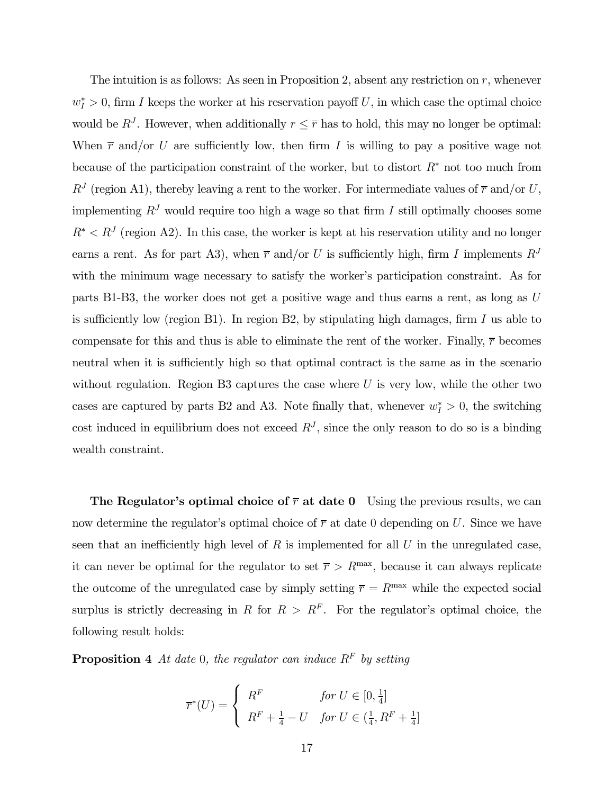The intuition is as follows: As seen in Proposition 2, absent any restriction on  $r$ , whenever  $w_I^* > 0$ , firm I keeps the worker at his reservation payoff U, in which case the optimal choice would be  $R^J$ . However, when additionally  $r \leq \overline{r}$  has to hold, this may no longer be optimal: When  $\bar{r}$  and/or U are sufficiently low, then firm I is willing to pay a positive wage not because of the participation constraint of the worker, but to distort  $R^*$  not too much from  $R<sup>J</sup>$  (region A1), thereby leaving a rent to the worker. For intermediate values of  $\overline{r}$  and/or U, implementing  $R<sup>J</sup>$  would require too high a wage so that firm I still optimally chooses some  $R^* < R<sup>J</sup>$  (region A2). In this case, the worker is kept at his reservation utility and no longer earns a rent. As for part A3), when  $\bar{r}$  and/or U is sufficiently high, firm I implements  $R^J$ with the minimum wage necessary to satisfy the worker's participation constraint. As for parts B1-B3, the worker does not get a positive wage and thus earns a rent, as long as U is sufficiently low (region B1). In region B2, by stipulating high damages, firm  $I$  us able to compensate for this and thus is able to eliminate the rent of the worker. Finally,  $\bar{r}$  becomes neutral when it is sufficiently high so that optimal contract is the same as in the scenario without regulation. Region B3 captures the case where  $U$  is very low, while the other two cases are captured by parts B2 and A3. Note finally that, whenever  $w_I^* > 0$ , the switching cost induced in equilibrium does not exceed  $R<sup>J</sup>$ , since the only reason to do so is a binding wealth constraint.

The Regulator's optimal choice of  $\bar{r}$  at date 0 Using the previous results, we can now determine the regulator's optimal choice of  $\overline{r}$  at date 0 depending on U. Since we have seen that an inefficiently high level of  $R$  is implemented for all  $U$  in the unregulated case. it can never be optimal for the regulator to set  $\overline{r} > R^{\text{max}}$ , because it can always replicate the outcome of the unregulated case by simply setting  $\bar{r} = R^{\text{max}}$  while the expected social surplus is strictly decreasing in R for  $R > R<sup>F</sup>$ . For the regulator's optimal choice, the following result holds:

**Proposition 4** At date 0, the regulator can induce  $R^F$  by setting

$$
\overline{r}^*(U) = \begin{cases} R^F & \text{for } U \in [0, \frac{1}{4}] \\ R^F + \frac{1}{4} - U & \text{for } U \in (\frac{1}{4}, R^F + \frac{1}{4}] \end{cases}
$$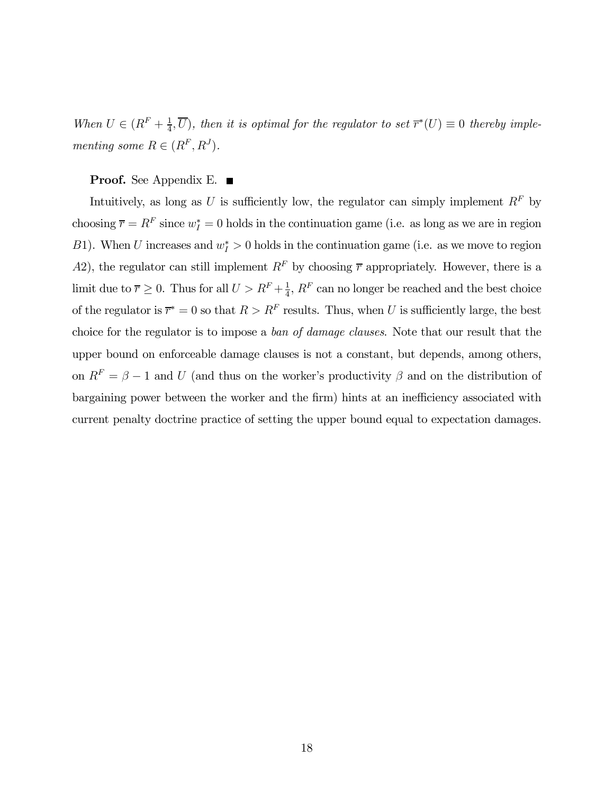When  $U \in (R^F + \frac{1}{4}, \overline{U})$ , then it is optimal for the regulator to set  $\overline{r}^*(U) \equiv 0$  thereby implementing some  $R \in (R^F, R^J)$ .

#### **Proof.** See Appendix E. ■

Intuitively, as long as U is sufficiently low, the regulator can simply implement  $R^F$  by choosing  $\overline{r} = R^F$  since  $w_I^* = 0$  holds in the continuation game (i.e. as long as we are in region B1). When U increases and  $w_I^* > 0$  holds in the continuation game (i.e. as we move to region A2), the regulator can still implement  $R^F$  by choosing  $\bar{r}$  appropriately. However, there is a limit due to  $\overline{r} \geq 0$ . Thus for all  $U > R^F + \frac{1}{4}$ ,  $R^F$  can no longer be reached and the best choice of the regulator is  $\overline{r}^* = 0$  so that  $R > R^F$  results. Thus, when U is sufficiently large, the best choice for the regulator is to impose a ban of damage clauses. Note that our result that the upper bound on enforceable damage clauses is not a constant, but depends, among others, on  $R^F = \beta - 1$  and U (and thus on the worker's productivity  $\beta$  and on the distribution of bargaining power between the worker and the firm) hints at an inefficiency associated with current penalty doctrine practice of setting the upper bound equal to expectation damages.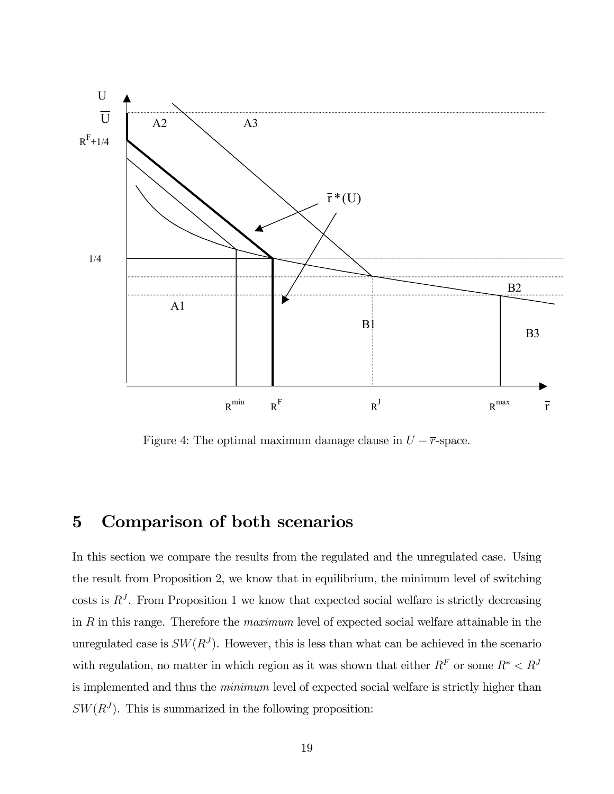

Figure 4: The optimal maximum damage clause in  $U - \overline{r}$ -space.

### 5 Comparison of both scenarios

In this section we compare the results from the regulated and the unregulated case. Using the result from Proposition 2, we know that in equilibrium, the minimum level of switching costs is  $R<sup>J</sup>$ . From Proposition 1 we know that expected social welfare is strictly decreasing in R in this range. Therefore the maximum level of expected social welfare attainable in the unregulated case is  $SW(R^J)$ . However, this is less than what can be achieved in the scenario with regulation, no matter in which region as it was shown that either  $R^F$  or some  $R^* < R^J$ is implemented and thus the minimum level of expected social welfare is strictly higher than  $SW(R<sup>J</sup>)$ . This is summarized in the following proposition: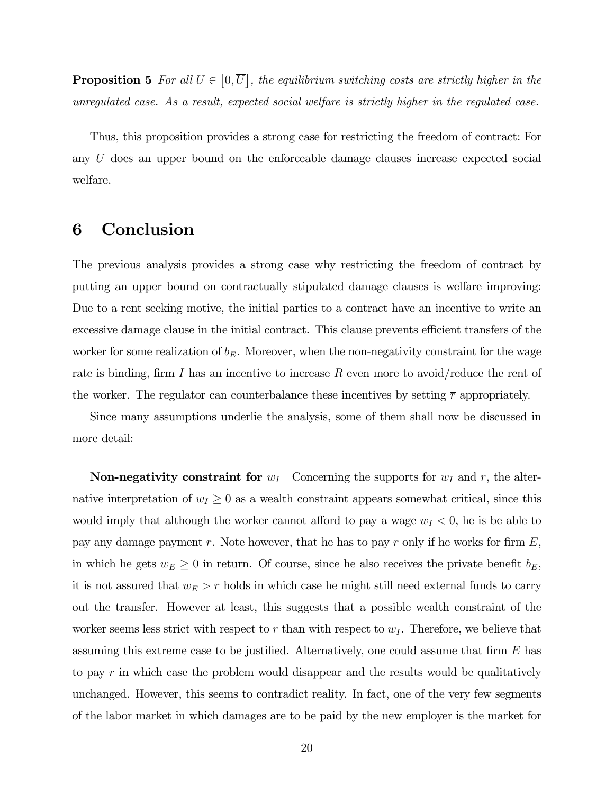**Proposition 5** For all  $U \in [0, \overline{U}]$ , the equilibrium switching costs are strictly higher in the unregulated case. As a result, expected social welfare is strictly higher in the regulated case.

Thus, this proposition provides a strong case for restricting the freedom of contract: For any U does an upper bound on the enforceable damage clauses increase expected social welfare.

### 6 Conclusion

The previous analysis provides a strong case why restricting the freedom of contract by putting an upper bound on contractually stipulated damage clauses is welfare improving: Due to a rent seeking motive, the initial parties to a contract have an incentive to write an excessive damage clause in the initial contract. This clause prevents efficient transfers of the worker for some realization of  $b_E$ . Moreover, when the non-negativity constraint for the wage rate is binding, firm I has an incentive to increase R even more to avoid/reduce the rent of the worker. The regulator can counterbalance these incentives by setting  $\bar{r}$  appropriately.

Since many assumptions underlie the analysis, some of them shall now be discussed in more detail:

**Non-negativity constraint for**  $w_I$  Concerning the supports for  $w_I$  and r, the alternative interpretation of  $w_I \geq 0$  as a wealth constraint appears somewhat critical, since this would imply that although the worker cannot afford to pay a wage  $w_I < 0$ , he is be able to pay any damage payment r. Note however, that he has to pay r only if he works for firm  $E$ , in which he gets  $w_E \ge 0$  in return. Of course, since he also receives the private benefit  $b_E$ , it is not assured that  $w_E > r$  holds in which case he might still need external funds to carry out the transfer. However at least, this suggests that a possible wealth constraint of the worker seems less strict with respect to r than with respect to  $w_I$ . Therefore, we believe that assuming this extreme case to be justified. Alternatively, one could assume that firm  $E$  has to pay r in which case the problem would disappear and the results would be qualitatively unchanged. However, this seems to contradict reality. In fact, one of the very few segments of the labor market in which damages are to be paid by the new employer is the market for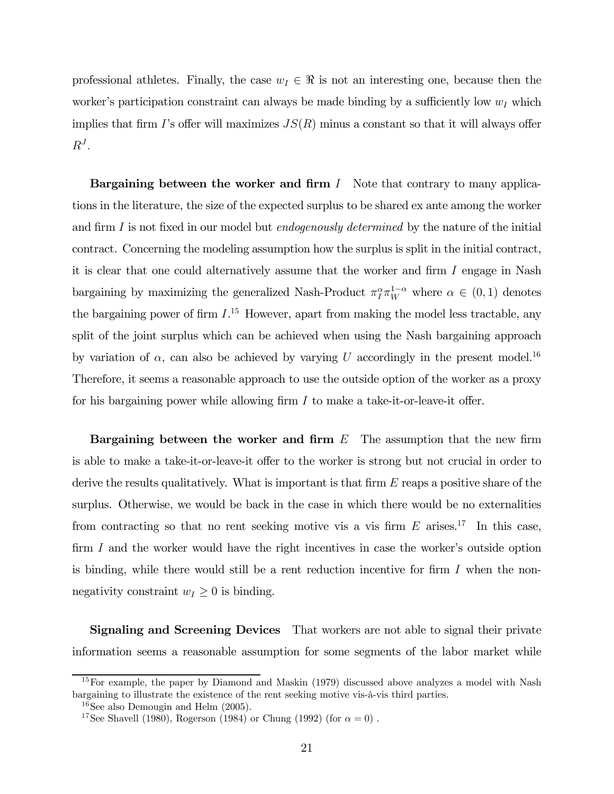professional athletes. Finally, the case  $w_I \in \Re$  is not an interesting one, because then the worker's participation constraint can always be made binding by a sufficiently low  $w_I$  which implies that firm I's offer will maximizes  $JS(R)$  minus a constant so that it will always offer  $R^J$ .

Bargaining between the worker and firm  $I$  Note that contrary to many applications in the literature, the size of the expected surplus to be shared ex ante among the worker and firm I is not fixed in our model but *endogenously determined* by the nature of the initial contract. Concerning the modeling assumption how the surplus is split in the initial contract, it is clear that one could alternatively assume that the worker and firm I engage in Nash bargaining by maximizing the generalized Nash-Product  $\pi_I^{\alpha} \pi_W^{1-\alpha}$  where  $\alpha \in (0,1)$  denotes the bargaining power of firm  $I^{15}$  However, apart from making the model less tractable, any split of the joint surplus which can be achieved when using the Nash bargaining approach by variation of  $\alpha$ , can also be achieved by varying U accordingly in the present model.<sup>16</sup> Therefore, it seems a reasonable approach to use the outside option of the worker as a proxy for his bargaining power while allowing firm I to make a take-it-or-leave-it offer.

Bargaining between the worker and firm  $E$  The assumption that the new firm is able to make a take-it-or-leave-it offer to the worker is strong but not crucial in order to derive the results qualitatively. What is important is that firm  $E$  reaps a positive share of the surplus. Otherwise, we would be back in the case in which there would be no externalities from contracting so that no rent seeking motive vis a vis firm  $E$  arises.<sup>17</sup> In this case, firm I and the worker would have the right incentives in case the worker's outside option is binding, while there would still be a rent reduction incentive for firm  $I$  when the nonnegativity constraint  $w_I \geq 0$  is binding.

Signaling and Screening Devices That workers are not able to signal their private information seems a reasonable assumption for some segments of the labor market while

<sup>&</sup>lt;sup>15</sup>For example, the paper by Diamond and Maskin (1979) discussed above analyzes a model with Nash bargaining to illustrate the existence of the rent seeking motive vis-à-vis third parties.

 $16$ See also Demougin and Helm  $(2005)$ .

<sup>&</sup>lt;sup>17</sup>See Shavell (1980), Rogerson (1984) or Chung (1992) (for  $\alpha = 0$ ).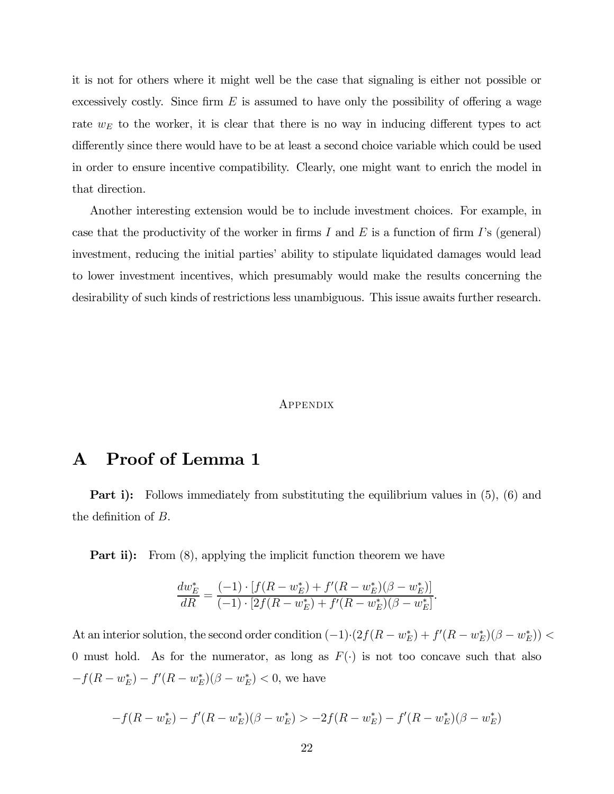it is not for others where it might well be the case that signaling is either not possible or excessively costly. Since firm  $E$  is assumed to have only the possibility of offering a wage rate  $w_E$  to the worker, it is clear that there is no way in inducing different types to act differently since there would have to be at least a second choice variable which could be used in order to ensure incentive compatibility. Clearly, one might want to enrich the model in that direction.

Another interesting extension would be to include investment choices. For example, in case that the productivity of the worker in firms I and E is a function of firm I's (general) investment, reducing the initial parties' ability to stipulate liquidated damages would lead to lower investment incentives, which presumably would make the results concerning the desirability of such kinds of restrictions less unambiguous. This issue awaits further research.

#### **APPENDIX**

### A Proof of Lemma 1

**Part i):** Follows immediately from substituting the equilibrium values in  $(5)$ ,  $(6)$  and the definition of B.

**Part ii):** From (8), applying the implicit function theorem we have

$$
\frac{dw_E^*}{dR} = \frac{(-1) \cdot [f(R - w_E^*) + f'(R - w_E^*)(\beta - w_E^*)]}{(-1) \cdot [2f(R - w_E^*) + f'(R - w_E^*)(\beta - w_E^*)]}.
$$

At an interior solution, the second order condition  $(-1) \cdot (2f(R - w_E^*) + f'(R - w_E^*)(\beta - w_E^*))$ 0 must hold. As for the numerator, as long as  $F(\cdot)$  is not too concave such that also  $-f(R - w_E^*) - f'(R - w_E^*)(\beta - w_E^*) < 0$ , we have

$$
-f(R - w_E^*) - f'(R - w_E^*)(\beta - w_E^*) > -2f(R - w_E^*) - f'(R - w_E^*)(\beta - w_E^*)
$$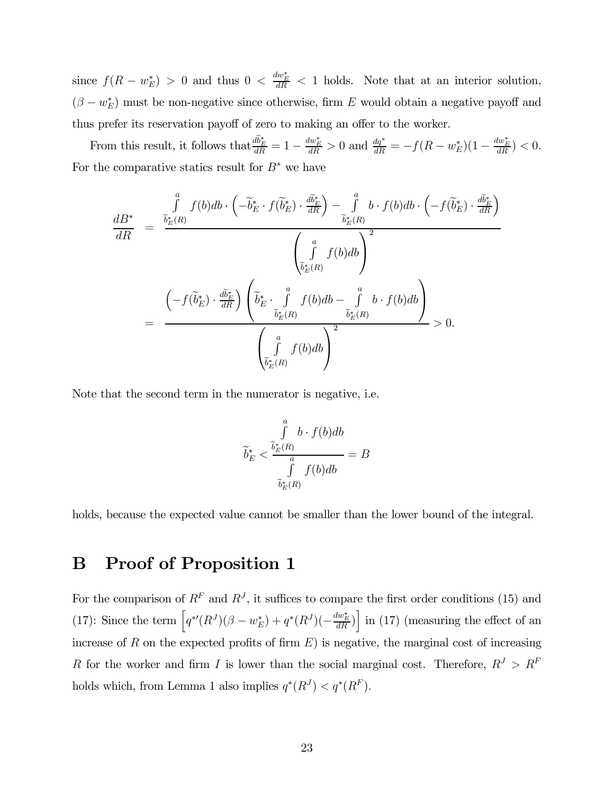since  $f(R - w_E^*) > 0$  and thus  $0 < \frac{dw_E^*}{dR} < 1$  holds. Note that at an interior solution,  $(\beta - w_E^*)$  must be non-negative since otherwise, firm E would obtain a negative payoff and thus prefer its reservation payoff of zero to making an offer to the worker.

From this result, it follows that  $\frac{db_E^*}{dR} = 1 - \frac{dw_E^*}{dR} > 0$  and  $\frac{dq^*}{dR} = -f(R - w_E^*)(1 - \frac{dw_E^*}{dR}) < 0$ . For the comparative statics result for  $B^*$  we have

$$
\frac{dB^*}{dR} = \frac{\int\limits_{\tilde{b}_E^*(R)}^{\tilde{a}} f(b)db \cdot \left(-\tilde{b}_E^* \cdot f(\tilde{b}_E^*) \cdot \frac{d\tilde{b}_E^*}{dR}\right) - \int\limits_{\tilde{b}_E^*(R)}^{\tilde{a}} b \cdot f(b)db \cdot \left(-f(\tilde{b}_E^*) \cdot \frac{d\tilde{b}_E^*}{dR}\right)}{\left(\int\limits_{\tilde{b}_E^*(R)}^{\tilde{a}} f(b)db\right)^2}
$$
\n
$$
= \frac{\left(-f(\tilde{b}_E^*) \cdot \frac{d\tilde{b}_E^*}{dR}\right) \left(\tilde{b}_E^* \cdot \int\limits_{\tilde{b}_E^*(R)}^{\tilde{a}} f(b)db - \int\limits_{\tilde{b}_E^*(R)}^{\tilde{a}} b \cdot f(b)db\right)}{\left(\int\limits_{\tilde{b}_E^*(R)}^{\tilde{a}} f(b)db\right)^2} > 0.
$$

Note that the second term in the numerator is negative, i.e.

$$
\widetilde{b}_{E}^{*} < \frac{\int\limits_{b_{E}(R)}^{a} b \cdot f(b) db}{\int\limits_{\widetilde{b}_{E}^{*}(R)} f(b) db} = B
$$

holds, because the expected value cannot be smaller than the lower bound of the integral.

# B Proof of Proposition 1

For the comparison of  $R^F$  and  $R^J$ , it suffices to compare the first order conditions (15) and (17): Since the term  $\left[q^*(R^J)(\beta - w_E^*) + q^*(R^J)(-\frac{dw_E^*}{dR})\right]$  in (17) (measuring the effect of an increase of  $R$  on the expected profits of firm  $E$ ) is negative, the marginal cost of increasing R for the worker and firm I is lower than the social marginal cost. Therefore,  $R^{J} > R^{F}$ holds which, from Lemma 1 also implies  $q^*(R^J) < q^*(R^F)$ .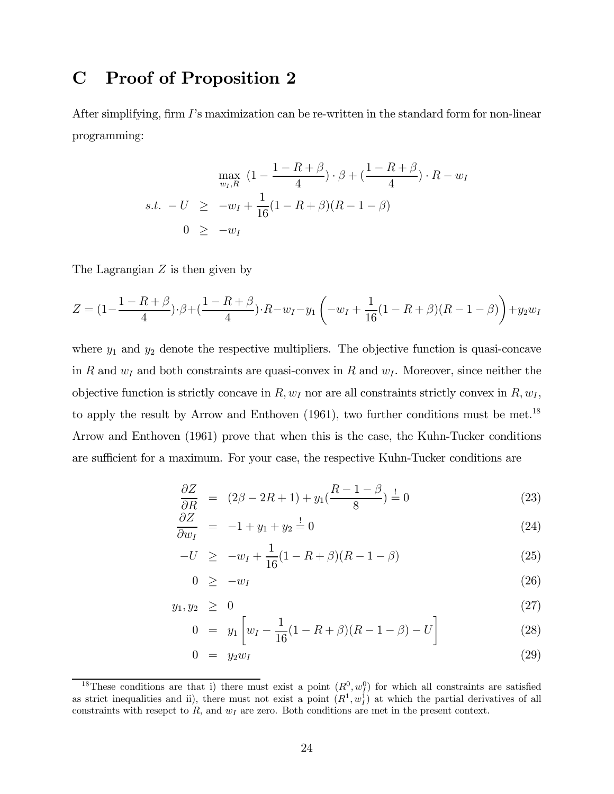### C Proof of Proposition 2

After simplifying, firm I's maximization can be re-written in the standard form for non-linear programming:

$$
\max_{w_I, R} (1 - \frac{1 - R + \beta}{4}) \cdot \beta + (\frac{1 - R + \beta}{4}) \cdot R - w_I
$$
  
s.t.  $-U \ge -w_I + \frac{1}{16}(1 - R + \beta)(R - 1 - \beta)$   
 $0 \ge -w_I$ 

The Lagrangian  $Z$  is then given by

$$
Z = (1 - \frac{1 - R + \beta}{4}) \cdot \beta + (\frac{1 - R + \beta}{4}) \cdot R - w_I - y_1 \left( -w_I + \frac{1}{16} (1 - R + \beta)(R - 1 - \beta) \right) + y_2 w_I
$$

where  $y_1$  and  $y_2$  denote the respective multipliers. The objective function is quasi-concave in R and  $w_I$  and both constraints are quasi-convex in R and  $w_I$ . Moreover, since neither the objective function is strictly concave in  $R$ ,  $w_I$  nor are all constraints strictly convex in  $R$ ,  $w_I$ , to apply the result by Arrow and Enthoven  $(1961)$ , two further conditions must be met.<sup>18</sup> Arrow and Enthoven (1961) prove that when this is the case, the Kuhn-Tucker conditions are sufficient for a maximum. For your case, the respective Kuhn-Tucker conditions are

$$
\frac{\partial Z}{\partial R} = (2\beta - 2R + 1) + y_1(\frac{R - 1 - \beta}{8}) = 0
$$
\n(23)

$$
\frac{\partial Z}{\partial w_I} = -1 + y_1 + y_2 \stackrel{!}{=} 0 \tag{24}
$$

$$
-U \geq -w_I + \frac{1}{16}(1 - R + \beta)(R - 1 - \beta) \tag{25}
$$

$$
0 \geq -w_I \tag{26}
$$

$$
y_1, y_2 \geq 0 \tag{27}
$$

$$
0 = y_1 \left[ w_I - \frac{1}{16} (1 - R + \beta)(R - 1 - \beta) - U \right]
$$
 (28)

$$
0 = y_2 w_I \tag{29}
$$

<sup>&</sup>lt;sup>18</sup>These conditions are that i) there must exist a point  $(R^0, w_I^0)$  for which all constraints are satisfied as strict inequalities and ii), there must not exist a point  $(R^1, w_I^1)$  at which the partial derivatives of all constraints with resepct to  $R$ , and  $w_I$  are zero. Both conditions are met in the present context.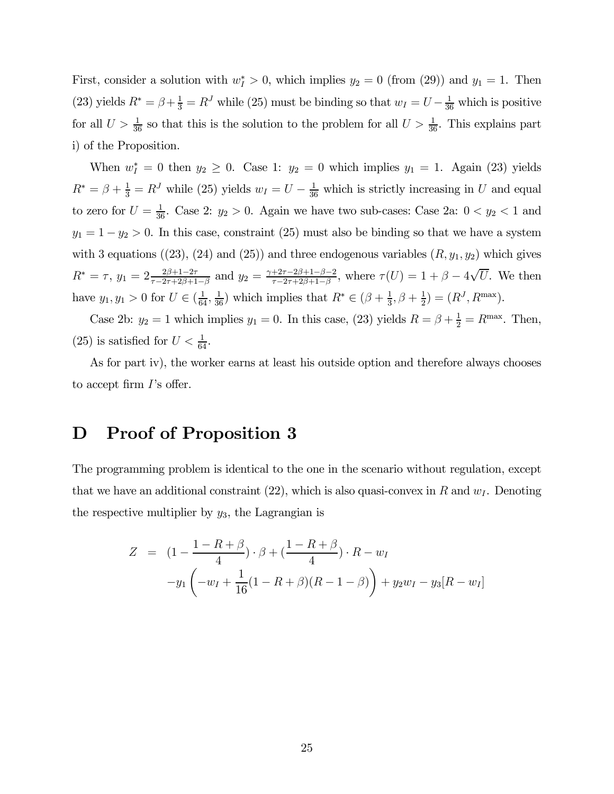First, consider a solution with  $w_I^* > 0$ , which implies  $y_2 = 0$  (from (29)) and  $y_1 = 1$ . Then (23) yields  $R^* = \beta + \frac{1}{3} = R^J$  while (25) must be binding so that  $w_I = U - \frac{1}{36}$  which is positive for all  $U > \frac{1}{36}$  so that this is the solution to the problem for all  $U > \frac{1}{36}$ . This explains part i) of the Proposition.

When  $w_I^* = 0$  then  $y_2 \geq 0$ . Case 1:  $y_2 = 0$  which implies  $y_1 = 1$ . Again (23) yields  $R^* = \beta + \frac{1}{3} = R^J$  while (25) yields  $w_I = U - \frac{1}{36}$  which is strictly increasing in U and equal to zero for  $U = \frac{1}{36}$ . Case 2:  $y_2 > 0$ . Again we have two sub-cases: Case 2a:  $0 < y_2 < 1$  and  $y_1 = 1 - y_2 > 0$ . In this case, constraint (25) must also be binding so that we have a system with 3 equations ((23), (24) and (25)) and three endogenous variables  $(R, y_1, y_2)$  which gives  $R^* = \tau$ ,  $y_1 = 2 \frac{2\beta + 1 - 2\tau}{\tau - 2\tau + 2\beta + 1 - \beta}$  and  $y_2 = \frac{\gamma + 2\tau - 2\beta + 1 - \beta - 2}{\tau - 2\tau + 2\beta + 1 - \beta}$ , where  $\tau(U) = 1 + \beta - 4\sqrt{U}$ . We then have  $y_1, y_1 > 0$  for  $U \in (\frac{1}{64}, \frac{1}{36})$  which implies that  $R^* \in (\beta + \frac{1}{3}, \beta + \frac{1}{2}) = (R^J, R^{\max})$ .

Case 2b:  $y_2 = 1$  which implies  $y_1 = 0$ . In this case, (23) yields  $R = \beta + \frac{1}{2} = R^{\text{max}}$ . Then, (25) is satisfied for  $U < \frac{1}{64}$ .

As for part iv), the worker earns at least his outside option and therefore always chooses to accept firm I's offer.

# D Proof of Proposition 3

The programming problem is identical to the one in the scenario without regulation, except that we have an additional constraint  $(22)$ , which is also quasi-convex in R and  $w<sub>I</sub>$ . Denoting the respective multiplier by  $y_3$ , the Lagrangian is

$$
Z = (1 - \frac{1 - R + \beta}{4}) \cdot \beta + (\frac{1 - R + \beta}{4}) \cdot R - w_I
$$
  
-y<sub>1</sub> $\left(-w_I + \frac{1}{16}(1 - R + \beta)(R - 1 - \beta)\right) + y_2w_I - y_3[R - w_I]$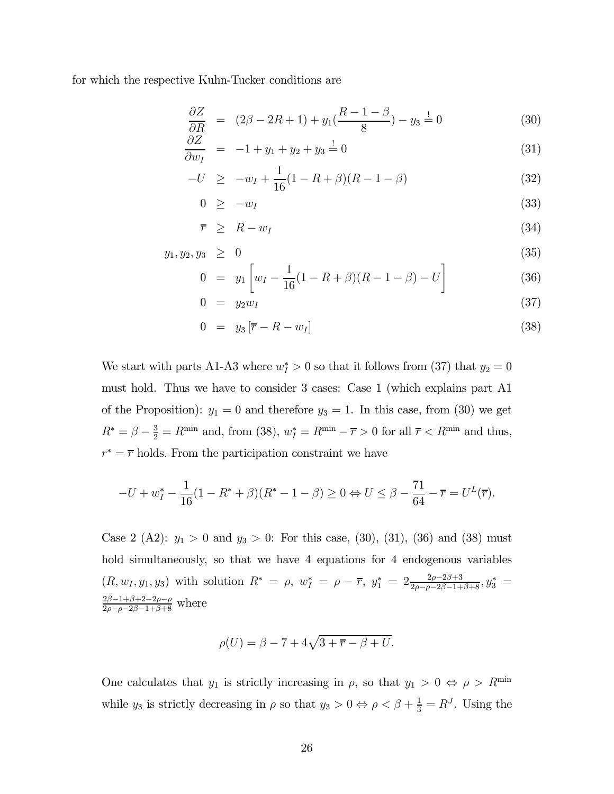for which the respective Kuhn-Tucker conditions are

$$
\frac{\partial Z}{\partial R} = (2\beta - 2R + 1) + y_1(\frac{R - 1 - \beta}{8}) - y_3 = 0 \tag{30}
$$

$$
\frac{\partial Z}{\partial w_I} = -1 + y_1 + y_2 + y_3 = 0 \tag{31}
$$

$$
-U \geq -w_I + \frac{1}{16}(1 - R + \beta)(R - 1 - \beta) \tag{32}
$$

$$
0 \geq -w_I \tag{33}
$$

$$
\overline{r} \geq R - w_I \tag{34}
$$

$$
y_1, y_2, y_3 \geq 0 \tag{35}
$$

$$
0 = y_1 \left[ w_I - \frac{1}{16} (1 - R + \beta)(R - 1 - \beta) - U \right]
$$
 (36)

$$
0 = y_2 w_I \tag{37}
$$

$$
0 = y_3 \left[ \overline{r} - R - w_I \right] \tag{38}
$$

We start with parts A1-A3 where  $w_I^* > 0$  so that it follows from (37) that  $y_2 = 0$ must hold. Thus we have to consider 3 cases: Case 1 (which explains part A1 of the Proposition):  $y_1 = 0$  and therefore  $y_3 = 1$ . In this case, from (30) we get  $R^* = \beta - \frac{3}{2} = R^{\min}$  and, from (38),  $w_I^* = R^{\min} - \overline{r} > 0$  for all  $\overline{r} < R^{\min}$  and thus,  $r^* = \overline{r}$  holds. From the participation constraint we have

$$
-U + w_I^* - \frac{1}{16}(1 - R^* + \beta)(R^* - 1 - \beta) \ge 0 \Leftrightarrow U \le \beta - \frac{71}{64} - \overline{r} = U^L(\overline{r}).
$$

Case 2 (A2):  $y_1 > 0$  and  $y_3 > 0$ : For this case, (30), (31), (36) and (38) must hold simultaneously, so that we have 4 equations for 4 endogenous variables  $(R, w_1, y_1, y_3)$  with solution  $R^* = \rho$ ,  $w_I^* = \rho - \overline{r}$ ,  $y_1^* = 2 \frac{2\rho - 2\beta + 3}{2\rho - \rho - 2\beta - 1 + \beta + 8}$ ,  $y_3^* =$  $\frac{2\beta-1+\beta+2-2\rho-\rho}{2\rho-\rho-2\beta-1+\beta+8}$  where

$$
\rho(U) = \beta - 7 + 4\sqrt{3 + \overline{r} - \beta + U}.
$$

One calculates that  $y_1$  is strictly increasing in  $\rho$ , so that  $y_1 > 0 \Leftrightarrow \rho > R^{\min}$ while  $y_3$  is strictly decreasing in  $\rho$  so that  $y_3 > 0 \Leftrightarrow \rho < \beta + \frac{1}{3} = R^J$ . Using the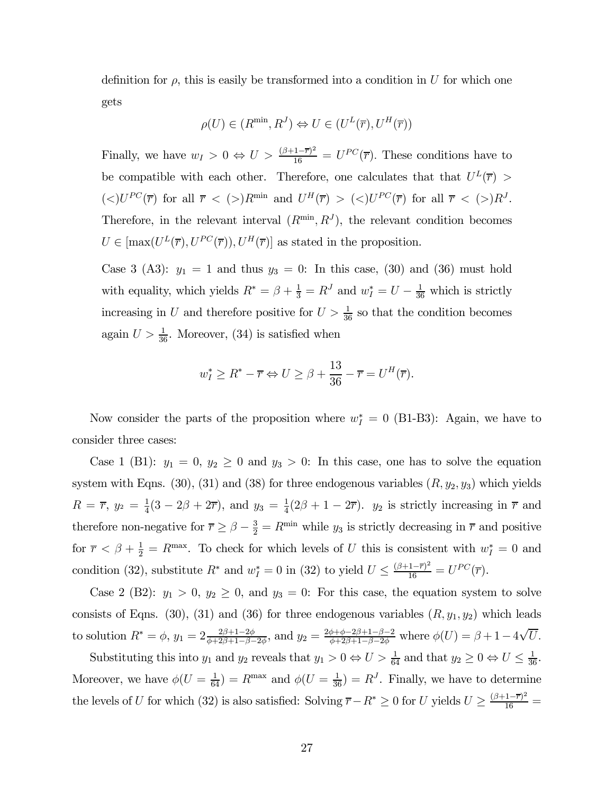definition for  $\rho$ , this is easily be transformed into a condition in U for which one gets

$$
\rho(U) \in (R^{\min}, R^J) \Leftrightarrow U \in (U^L(\overline{r}), U^H(\overline{r}))
$$

Finally, we have  $w_I > 0 \Leftrightarrow U > \frac{(\beta + 1 - \overline{r})^2}{16} = U^{PC}(\overline{r})$ . These conditions have to be compatible with each other. Therefore, one calculates that that  $U^L(\overline{r}) >$  $(<)U^{PC}(\overline{r})$  for all  $\overline{r} < (>)R^{min}$  and  $U^H(\overline{r}) > (<)U^{PC}(\overline{r})$  for all  $\overline{r} < (>)R^J$ . Therefore, in the relevant interval  $(R^{\min}, R^{J})$ , the relevant condition becomes  $U \in [\max(U^{L}(\overline{r}), U^{PC}(\overline{r})), U^{H}(\overline{r})]$  as stated in the proposition.

Case 3 (A3):  $y_1 = 1$  and thus  $y_3 = 0$ : In this case, (30) and (36) must hold with equality, which yields  $R^* = \beta + \frac{1}{3} = R^J$  and  $w_I^* = U - \frac{1}{36}$  which is strictly increasing in U and therefore positive for  $U > \frac{1}{36}$  so that the condition becomes again  $U > \frac{1}{36}$ . Moreover, (34) is satisfied when

$$
w_I^* \ge R^* - \overline{r} \Leftrightarrow U \ge \beta + \frac{13}{36} - \overline{r} = U^H(\overline{r}).
$$

Now consider the parts of the proposition where  $w_I^* = 0$  (B1-B3): Again, we have to consider three cases:

Case 1 (B1):  $y_1 = 0$ ,  $y_2 \ge 0$  and  $y_3 > 0$ : In this case, one has to solve the equation system with Eqns. (30), (31) and (38) for three endogenous variables  $(R, y_2, y_3)$  which yields  $R = \overline{r}$ ,  $y_2 = \frac{1}{4}(3 - 2\beta + 2\overline{r})$ , and  $y_3 = \frac{1}{4}(2\beta + 1 - 2\overline{r})$ .  $y_2$  is strictly increasing in  $\overline{r}$  and therefore non-negative for  $\overline{r} \ge \beta - \frac{3}{2} = R^{\min}$  while  $y_3$  is strictly decreasing in  $\overline{r}$  and positive for  $\overline{r} < \beta + \frac{1}{2} = R^{\text{max}}$ . To check for which levels of U this is consistent with  $w_I^* = 0$  and condition (32), substitute  $R^*$  and  $w_I^* = 0$  in (32) to yield  $U \leq \frac{(\beta + 1 - \overline{r})^2}{16} = U^{PC}(\overline{r}).$ 

Case 2 (B2):  $y_1 > 0$ ,  $y_2 \ge 0$ , and  $y_3 = 0$ : For this case, the equation system to solve consists of Eqns. (30), (31) and (36) for three endogenous variables  $(R, y_1, y_2)$  which leads to solution  $R^* = \phi$ ,  $y_1 = 2 \frac{2\beta + 1 - 2\phi}{\phi + 2\beta + 1 - \beta - 2\phi}$ , and  $y_2 = \frac{2\phi + \phi - 2\beta + 1 - \beta - 2}{\phi + 2\beta + 1 - \beta - 2\phi}$  where  $\phi(U) = \beta + 1 - 4\sqrt{U}$ .

Substituting this into  $y_1$  and  $y_2$  reveals that  $y_1 > 0 \Leftrightarrow U > \frac{1}{64}$  and that  $y_2 \ge 0 \Leftrightarrow U \le \frac{1}{36}$ . Moreover, we have  $\phi(U = \frac{1}{64}) = R^{\text{max}}$  and  $\phi(U = \frac{1}{36}) = R^{J}$ . Finally, we have to determine the levels of U for which (32) is also satisfied: Solving  $\overline{r} - R^* \ge 0$  for U yields  $U \ge \frac{(\beta + 1 - \overline{r})^2}{16}$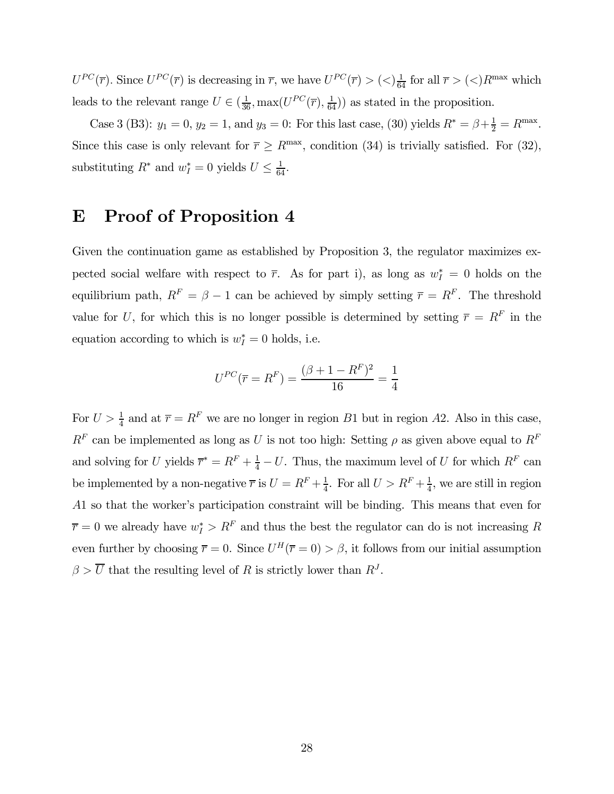$U^{PC}(\overline{r})$ . Since  $U^{PC}(\overline{r})$  is decreasing in  $\overline{r}$ , we have  $U^{PC}(\overline{r}) > (<) \frac{1}{64}$  for all  $\overline{r} > (<)R^{max}$  which leads to the relevant range  $U \in (\frac{1}{36}, \max(U^{PC}(\overline{r}), \frac{1}{64}))$  as stated in the proposition.

Case 3 (B3):  $y_1 = 0$ ,  $y_2 = 1$ , and  $y_3 = 0$ : For this last case, (30) yields  $R^* = \beta + \frac{1}{2} = R^{\text{max}}$ . Since this case is only relevant for  $\overline{r} \ge R^{\text{max}}$ , condition (34) is trivially satisfied. For (32), substituting  $R^*$  and  $w_I^* = 0$  yields  $U \leq \frac{1}{64}$ .

### E Proof of Proposition 4

Given the continuation game as established by Proposition 3, the regulator maximizes expected social welfare with respect to  $\bar{r}$ . As for part i), as long as  $w_I^* = 0$  holds on the equilibrium path,  $R^F = \beta - 1$  can be achieved by simply setting  $\bar{r} = R^F$ . The threshold value for U, for which this is no longer possible is determined by setting  $\bar{r} = R^F$  in the equation according to which is  $w_I^* = 0$  holds, i.e.

$$
U^{PC}(\overline{r} = R^F) = \frac{(\beta + 1 - R^F)^2}{16} = \frac{1}{4}
$$

For  $U > \frac{1}{4}$  and at  $\overline{r} = R^F$  we are no longer in region B1 but in region A2. Also in this case,  $R^F$  can be implemented as long as U is not too high: Setting  $\rho$  as given above equal to  $R^F$ and solving for U yields  $\overline{r}^* = R^F + \frac{1}{4} - U$ . Thus, the maximum level of U for which  $R^F$  can be implemented by a non-negative  $\overline{r}$  is  $U = R^F + \frac{1}{4}$ . For all  $U > R^F + \frac{1}{4}$ , we are still in region A1 so that the worker's participation constraint will be binding. This means that even for  $\overline{r} = 0$  we already have  $w_I^* > R^F$  and thus the best the regulator can do is not increasing R even further by choosing  $\overline{r} = 0$ . Since  $U^H(\overline{r} = 0) > \beta$ , it follows from our initial assumption  $\beta > \overline{U}$  that the resulting level of R is strictly lower than  $R<sup>J</sup>$ .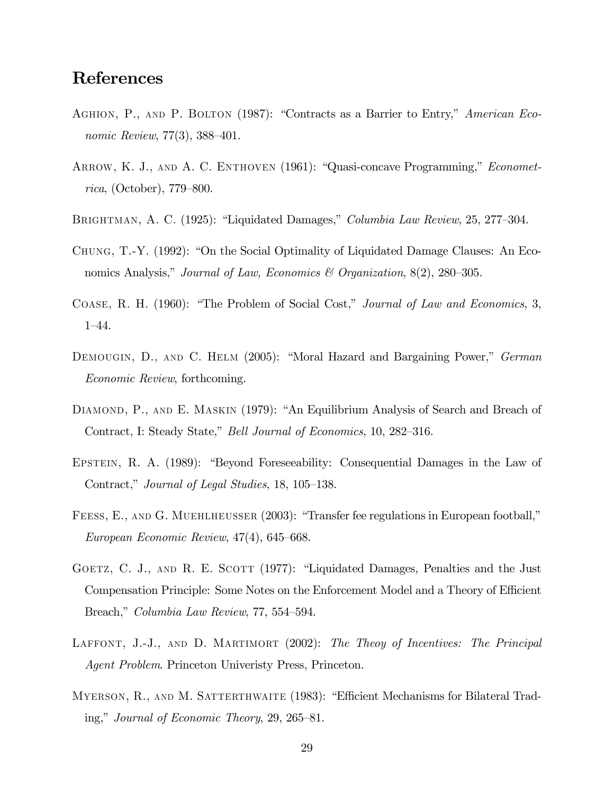### References

- Aghion, P., and P. Bolton (1987): "Contracts as a Barrier to Entry," American Economic Review, 77(3), 388—401.
- ARROW, K. J., AND A. C. ENTHOVEN (1961): "Quasi-concave Programming," *Economet*rica, (October), 779—800.
- BRIGHTMAN, A. C. (1925): "Liquidated Damages," *Columbia Law Review*, 25, 277–304.
- Chung, T.-Y. (1992): "On the Social Optimality of Liquidated Damage Clauses: An Economics Analysis," Journal of Law, Economics & Organization,  $8(2)$ , 280–305.
- Coase, R. H. (1960): "The Problem of Social Cost," Journal of Law and Economics, 3, 1—44.
- DEMOUGIN, D., AND C. HELM (2005): "Moral Hazard and Bargaining Power," German Economic Review, forthcoming.
- DIAMOND, P., AND E. MASKIN (1979): "An Equilibrium Analysis of Search and Breach of Contract, I: Steady State," Bell Journal of Economics, 10, 282—316.
- Epstein, R. A. (1989): "Beyond Foreseeability: Consequential Damages in the Law of Contract," Journal of Legal Studies, 18, 105—138.
- FEESS, E., AND G. MUEHLHEUSSER (2003): "Transfer fee regulations in European football," European Economic Review, 47(4), 645—668.
- GOETZ, C. J., AND R. E. SCOTT (1977): "Liquidated Damages, Penalties and the Just Compensation Principle: Some Notes on the Enforcement Model and a Theory of Efficient Breach," Columbia Law Review, 77, 554—594.
- LAFFONT, J.-J., AND D. MARTIMORT (2002): The Theoy of Incentives: The Principal Agent Problem. Princeton Univeristy Press, Princeton.
- MYERSON, R., AND M. SATTERTHWAITE (1983): "Efficient Mechanisms for Bilateral Trading," Journal of Economic Theory, 29, 265—81.